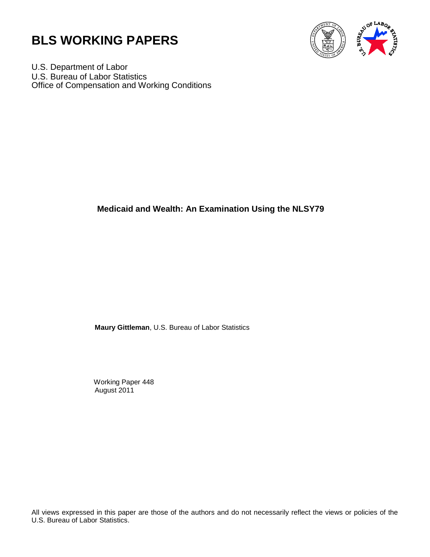



U.S. Department of Labor U.S. Bureau of Labor Statistics Office of Compensation and Working Conditions

# **Medicaid and Wealth: An Examination Using the NLSY79**

**Maury Gittleman**, U.S. Bureau of Labor Statistics

 Working Paper 448 August 2011

All views expressed in this paper are those of the authors and do not necessarily reflect the views or policies of the U.S. Bureau of Labor Statistics.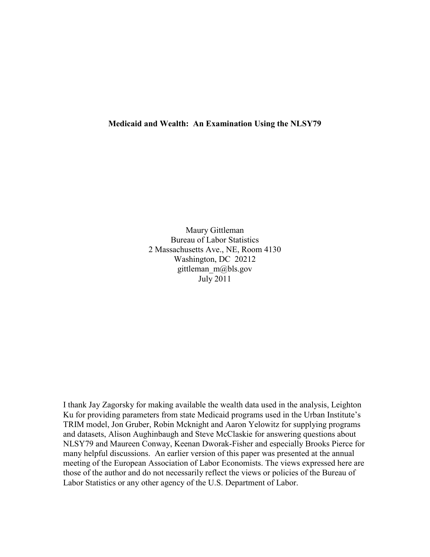## **Medicaid and Wealth: An Examination Using the NLSY79**

Maury Gittleman Bureau of Labor Statistics 2 Massachusetts Ave., NE, Room 4130 Washington, DC 20212 gittleman\_m@bls.gov July 2011

I thank Jay Zagorsky for making available the wealth data used in the analysis, Leighton Ku for providing parameters from state Medicaid programs used in the Urban Institute's TRIM model, Jon Gruber, Robin Mcknight and Aaron Yelowitz for supplying programs and datasets, Alison Aughinbaugh and Steve McClaskie for answering questions about NLSY79 and Maureen Conway, Keenan Dworak-Fisher and especially Brooks Pierce for many helpful discussions. An earlier version of this paper was presented at the annual meeting of the European Association of Labor Economists. The views expressed here are those of the author and do not necessarily reflect the views or policies of the Bureau of Labor Statistics or any other agency of the U.S. Department of Labor.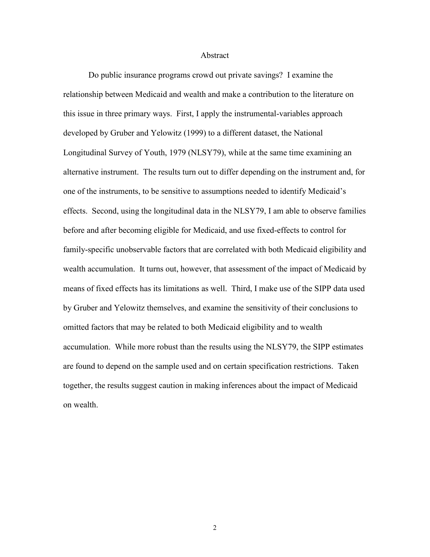#### Abstract

Do public insurance programs crowd out private savings? I examine the relationship between Medicaid and wealth and make a contribution to the literature on this issue in three primary ways. First, I apply the instrumental-variables approach developed by Gruber and Yelowitz (1999) to a different dataset, the National Longitudinal Survey of Youth, 1979 (NLSY79), while at the same time examining an alternative instrument. The results turn out to differ depending on the instrument and, for one of the instruments, to be sensitive to assumptions needed to identify Medicaid's effects. Second, using the longitudinal data in the NLSY79, I am able to observe families before and after becoming eligible for Medicaid, and use fixed-effects to control for family-specific unobservable factors that are correlated with both Medicaid eligibility and wealth accumulation. It turns out, however, that assessment of the impact of Medicaid by means of fixed effects has its limitations as well. Third, I make use of the SIPP data used by Gruber and Yelowitz themselves, and examine the sensitivity of their conclusions to omitted factors that may be related to both Medicaid eligibility and to wealth accumulation. While more robust than the results using the NLSY79, the SIPP estimates are found to depend on the sample used and on certain specification restrictions. Taken together, the results suggest caution in making inferences about the impact of Medicaid on wealth.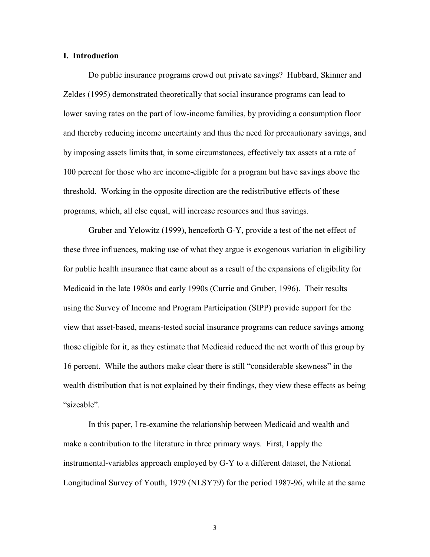## **I. Introduction**

 Do public insurance programs crowd out private savings? Hubbard, Skinner and Zeldes (1995) demonstrated theoretically that social insurance programs can lead to lower saving rates on the part of low-income families, by providing a consumption floor and thereby reducing income uncertainty and thus the need for precautionary savings, and by imposing assets limits that, in some circumstances, effectively tax assets at a rate of 100 percent for those who are income-eligible for a program but have savings above the threshold. Working in the opposite direction are the redistributive effects of these programs, which, all else equal, will increase resources and thus savings.

 Gruber and Yelowitz (1999), henceforth G-Y, provide a test of the net effect of these three influences, making use of what they argue is exogenous variation in eligibility for public health insurance that came about as a result of the expansions of eligibility for Medicaid in the late 1980s and early 1990s (Currie and Gruber, 1996). Their results using the Survey of Income and Program Participation (SIPP) provide support for the view that asset-based, means-tested social insurance programs can reduce savings among those eligible for it, as they estimate that Medicaid reduced the net worth of this group by 16 percent. While the authors make clear there is still "considerable skewness" in the wealth distribution that is not explained by their findings, they view these effects as being "sizeable".

In this paper, I re-examine the relationship between Medicaid and wealth and make a contribution to the literature in three primary ways. First, I apply the instrumental-variables approach employed by G-Y to a different dataset, the National Longitudinal Survey of Youth, 1979 (NLSY79) for the period 1987-96, while at the same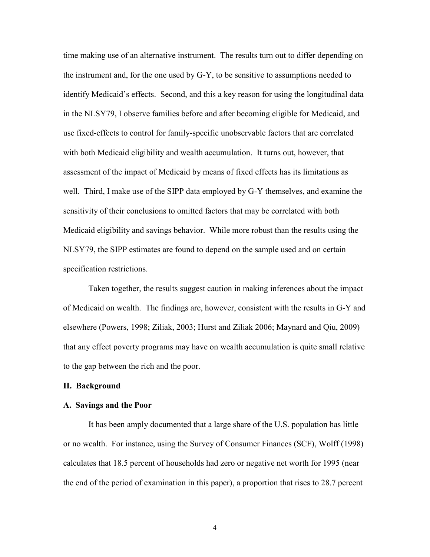time making use of an alternative instrument. The results turn out to differ depending on the instrument and, for the one used by G-Y, to be sensitive to assumptions needed to identify Medicaid's effects. Second, and this a key reason for using the longitudinal data in the NLSY79, I observe families before and after becoming eligible for Medicaid, and use fixed-effects to control for family-specific unobservable factors that are correlated with both Medicaid eligibility and wealth accumulation. It turns out, however, that assessment of the impact of Medicaid by means of fixed effects has its limitations as well. Third, I make use of the SIPP data employed by G-Y themselves, and examine the sensitivity of their conclusions to omitted factors that may be correlated with both Medicaid eligibility and savings behavior. While more robust than the results using the NLSY79, the SIPP estimates are found to depend on the sample used and on certain specification restrictions.

Taken together, the results suggest caution in making inferences about the impact of Medicaid on wealth. The findings are, however, consistent with the results in G-Y and elsewhere (Powers, 1998; Ziliak, 2003; Hurst and Ziliak 2006; Maynard and Qiu, 2009) that any effect poverty programs may have on wealth accumulation is quite small relative to the gap between the rich and the poor.

#### **II. Background**

#### **A. Savings and the Poor**

 It has been amply documented that a large share of the U.S. population has little or no wealth. For instance, using the Survey of Consumer Finances (SCF), Wolff (1998) calculates that 18.5 percent of households had zero or negative net worth for 1995 (near the end of the period of examination in this paper), a proportion that rises to 28.7 percent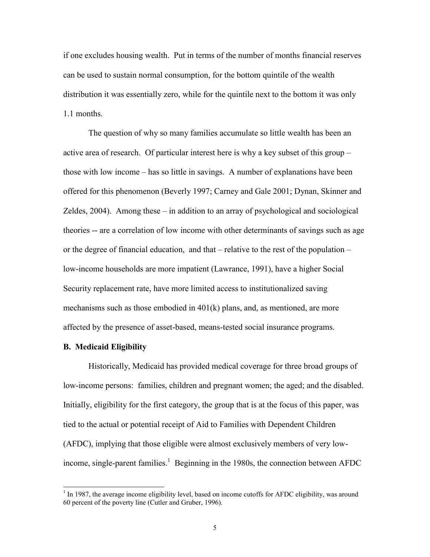if one excludes housing wealth. Put in terms of the number of months financial reserves can be used to sustain normal consumption, for the bottom quintile of the wealth distribution it was essentially zero, while for the quintile next to the bottom it was only 1.1 months.

 The question of why so many families accumulate so little wealth has been an active area of research. Of particular interest here is why a key subset of this group – those with low income – has so little in savings. A number of explanations have been offered for this phenomenon (Beverly 1997; Carney and Gale 2001; Dynan, Skinner and Zeldes, 2004). Among these – in addition to an array of psychological and sociological theories -- are a correlation of low income with other determinants of savings such as age or the degree of financial education, and that – relative to the rest of the population – low-income households are more impatient (Lawrance, 1991), have a higher Social Security replacement rate, have more limited access to institutionalized saving mechanisms such as those embodied in  $401(k)$  plans, and, as mentioned, are more affected by the presence of asset-based, means-tested social insurance programs.

#### **B. Medicaid Eligibility**

Historically, Medicaid has provided medical coverage for three broad groups of low-income persons: families, children and pregnant women; the aged; and the disabled. Initially, eligibility for the first category, the group that is at the focus of this paper, was tied to the actual or potential receipt of Aid to Families with Dependent Children (AFDC), implying that those eligible were almost exclusively members of very lowincome, single-parent families.<sup>1</sup> Beginning in the 1980s, the connection between AFDC

<sup>&</sup>lt;sup>1</sup> In 1987, the average income eligibility level, based on income cutoffs for AFDC eligibility, was around 60 percent of the poverty line (Cutler and Gruber, 1996).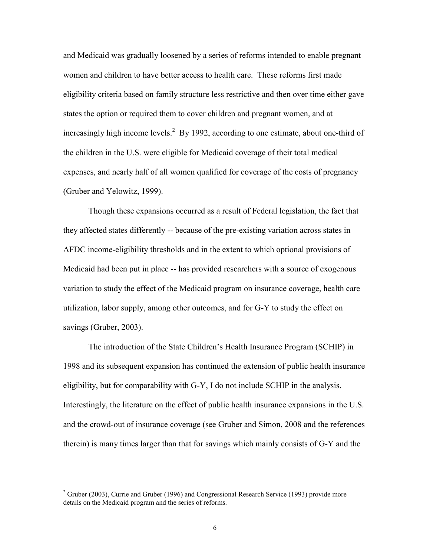and Medicaid was gradually loosened by a series of reforms intended to enable pregnant women and children to have better access to health care. These reforms first made eligibility criteria based on family structure less restrictive and then over time either gave states the option or required them to cover children and pregnant women, and at increasingly high income levels.<sup>2</sup> By 1992, according to one estimate, about one-third of the children in the U.S. were eligible for Medicaid coverage of their total medical expenses, and nearly half of all women qualified for coverage of the costs of pregnancy (Gruber and Yelowitz, 1999).

 Though these expansions occurred as a result of Federal legislation, the fact that they affected states differently -- because of the pre-existing variation across states in AFDC income-eligibility thresholds and in the extent to which optional provisions of Medicaid had been put in place -- has provided researchers with a source of exogenous variation to study the effect of the Medicaid program on insurance coverage, health care utilization, labor supply, among other outcomes, and for G-Y to study the effect on savings (Gruber, 2003).

The introduction of the State Children's Health Insurance Program (SCHIP) in 1998 and its subsequent expansion has continued the extension of public health insurance eligibility, but for comparability with G-Y, I do not include SCHIP in the analysis. Interestingly, the literature on the effect of public health insurance expansions in the U.S. and the crowd-out of insurance coverage (see Gruber and Simon, 2008 and the references therein) is many times larger than that for savings which mainly consists of G-Y and the

<sup>&</sup>lt;sup>2</sup> Gruber (2003), Currie and Gruber (1996) and Congressional Research Service (1993) provide more details on the Medicaid program and the series of reforms.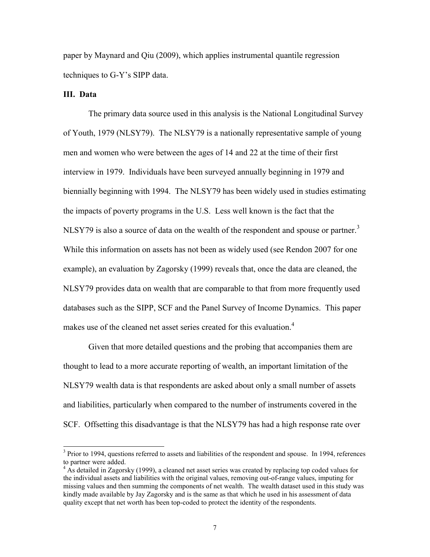paper by Maynard and Qiu (2009), which applies instrumental quantile regression techniques to G-Y's SIPP data.

### **III. Data**

 $\overline{a}$ 

 The primary data source used in this analysis is the National Longitudinal Survey of Youth, 1979 (NLSY79). The NLSY79 is a nationally representative sample of young men and women who were between the ages of 14 and 22 at the time of their first interview in 1979. Individuals have been surveyed annually beginning in 1979 and biennially beginning with 1994. The NLSY79 has been widely used in studies estimating the impacts of poverty programs in the U.S. Less well known is the fact that the NLSY79 is also a source of data on the wealth of the respondent and spouse or partner.<sup>3</sup> While this information on assets has not been as widely used (see Rendon 2007 for one example), an evaluation by Zagorsky (1999) reveals that, once the data are cleaned, the NLSY79 provides data on wealth that are comparable to that from more frequently used databases such as the SIPP, SCF and the Panel Survey of Income Dynamics. This paper makes use of the cleaned net asset series created for this evaluation.<sup>4</sup>

 Given that more detailed questions and the probing that accompanies them are thought to lead to a more accurate reporting of wealth, an important limitation of the NLSY79 wealth data is that respondents are asked about only a small number of assets and liabilities, particularly when compared to the number of instruments covered in the SCF. Offsetting this disadvantage is that the NLSY79 has had a high response rate over

 $3$  Prior to 1994, questions referred to assets and liabilities of the respondent and spouse. In 1994, references to partner were added.

<sup>&</sup>lt;sup>4</sup> As detailed in Zagorsky (1999), a cleaned net asset series was created by replacing top coded values for the individual assets and liabilities with the original values, removing out-of-range values, imputing for missing values and then summing the components of net wealth. The wealth dataset used in this study was kindly made available by Jay Zagorsky and is the same as that which he used in his assessment of data quality except that net worth has been top-coded to protect the identity of the respondents.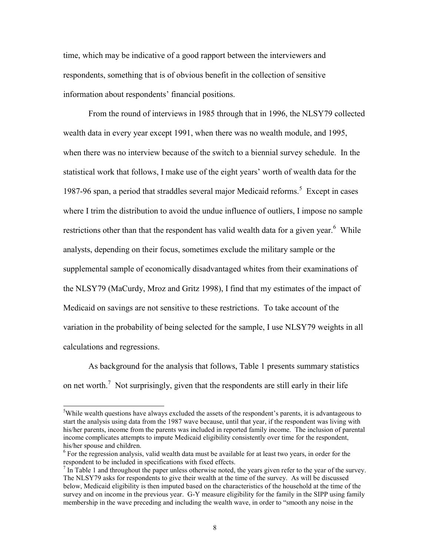time, which may be indicative of a good rapport between the interviewers and respondents, something that is of obvious benefit in the collection of sensitive information about respondents' financial positions.

From the round of interviews in 1985 through that in 1996, the NLSY79 collected wealth data in every year except 1991, when there was no wealth module, and 1995, when there was no interview because of the switch to a biennial survey schedule. In the statistical work that follows, I make use of the eight years' worth of wealth data for the 1987-96 span, a period that straddles several major Medicaid reforms.<sup>5</sup> Except in cases where I trim the distribution to avoid the undue influence of outliers, I impose no sample restrictions other than that the respondent has valid wealth data for a given year.<sup>6</sup> While analysts, depending on their focus, sometimes exclude the military sample or the supplemental sample of economically disadvantaged whites from their examinations of the NLSY79 (MaCurdy, Mroz and Gritz 1998), I find that my estimates of the impact of Medicaid on savings are not sensitive to these restrictions. To take account of the variation in the probability of being selected for the sample, I use NLSY79 weights in all calculations and regressions.

 As background for the analysis that follows, Table 1 presents summary statistics on net worth.<sup>7</sup> Not surprisingly, given that the respondents are still early in their life

<sup>&</sup>lt;sup>5</sup>While wealth questions have always excluded the assets of the respondent's parents, it is advantageous to start the analysis using data from the 1987 wave because, until that year, if the respondent was living with his/her parents, income from the parents was included in reported family income. The inclusion of parental income complicates attempts to impute Medicaid eligibility consistently over time for the respondent, his/her spouse and children.

<sup>&</sup>lt;sup>6</sup> For the regression analysis, valid wealth data must be available for at least two years, in order for the respondent to be included in specifications with fixed effects.

 $<sup>7</sup>$  In Table 1 and throughout the paper unless otherwise noted, the years given refer to the year of the survey.</sup> The NLSY79 asks for respondents to give their wealth at the time of the survey. As will be discussed below, Medicaid eligibility is then imputed based on the characteristics of the household at the time of the survey and on income in the previous year. G-Y measure eligibility for the family in the SIPP using family membership in the wave preceding and including the wealth wave, in order to "smooth any noise in the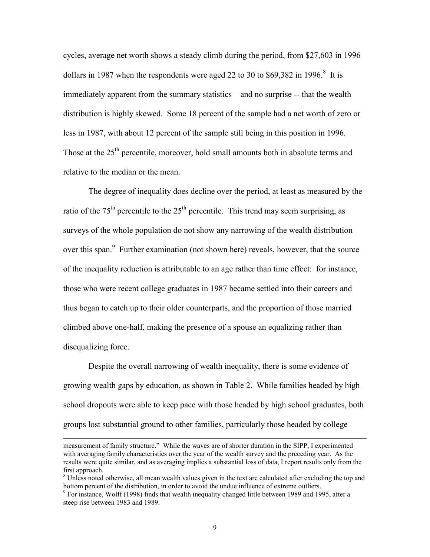cycles, average net worth shows a steady climb during the period, from \$27,603 in 1996 dollars in 1987 when the respondents were aged 22 to 30 to  $$69,382$  in 1996.<sup>8</sup> It is immediately apparent from the summary statistics – and no surprise -- that the wealth distribution is highly skewed. Some 18 percent of the sample had a net worth of zero or less in 1987, with about 12 percent of the sample still being in this position in 1996. Those at the 25<sup>th</sup> percentile, moreover, hold small amounts both in absolute terms and relative to the median or the mean.

 The degree of inequality does decline over the period, at least as measured by the ratio of the  $75<sup>th</sup>$  percentile to the  $25<sup>th</sup>$  percentile. This trend may seem surprising, as surveys of the whole population do not show any narrowing of the wealth distribution over this span.<sup>9</sup> Further examination (not shown here) reveals, however, that the source of the inequality reduction is attributable to an age rather than time effect: for instance, those who were recent college graduates in 1987 became settled into their careers and thus began to catch up to their older counterparts, and the proportion of those married climbed above one-half, making the presence of a spouse an equalizing rather than disequalizing force.

 Despite the overall narrowing of wealth inequality, there is some evidence of growing wealth gaps by education, as shown in Table 2. While families headed by high school dropouts were able to keep pace with those headed by high school graduates, both groups lost substantial ground to other families, particularly those headed by college

measurement of family structure." While the waves are of shorter duration in the SIPP, I experimented with averaging family characteristics over the year of the wealth survey and the preceding year. As the results were quite similar, and as averaging implies a substantial loss of data, I report results only from the first approach.

<sup>&</sup>lt;sup>8</sup> Unless noted otherwise, all mean wealth values given in the text are calculated after excluding the top and bottom percent of the distribution, in order to avoid the undue influence of extreme outliers.

<sup>&</sup>lt;sup>9</sup> For instance, Wolff (1998) finds that wealth inequality changed little between 1989 and 1995, after a steep rise between 1983 and 1989.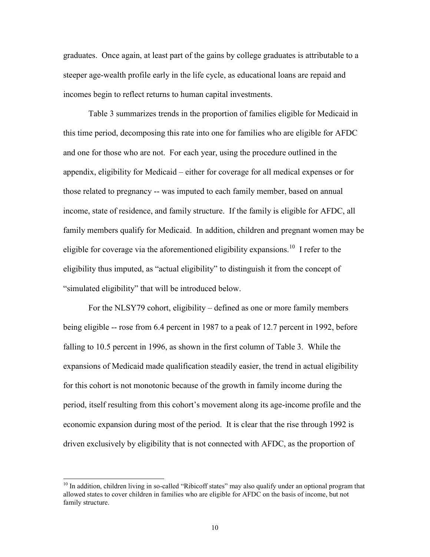graduates. Once again, at least part of the gains by college graduates is attributable to a steeper age-wealth profile early in the life cycle, as educational loans are repaid and incomes begin to reflect returns to human capital investments.

 Table 3 summarizes trends in the proportion of families eligible for Medicaid in this time period, decomposing this rate into one for families who are eligible for AFDC and one for those who are not. For each year, using the procedure outlined in the appendix, eligibility for Medicaid – either for coverage for all medical expenses or for those related to pregnancy -- was imputed to each family member, based on annual income, state of residence, and family structure. If the family is eligible for AFDC, all family members qualify for Medicaid. In addition, children and pregnant women may be eligible for coverage via the aforementioned eligibility expansions.<sup>10</sup> I refer to the eligibility thus imputed, as "actual eligibility" to distinguish it from the concept of "simulated eligibility" that will be introduced below.

 For the NLSY79 cohort, eligibility – defined as one or more family members being eligible -- rose from 6.4 percent in 1987 to a peak of 12.7 percent in 1992, before falling to 10.5 percent in 1996, as shown in the first column of Table 3. While the expansions of Medicaid made qualification steadily easier, the trend in actual eligibility for this cohort is not monotonic because of the growth in family income during the period, itself resulting from this cohort's movement along its age-income profile and the economic expansion during most of the period. It is clear that the rise through 1992 is driven exclusively by eligibility that is not connected with AFDC, as the proportion of

<sup>&</sup>lt;sup>10</sup> In addition, children living in so-called "Ribicoff states" may also qualify under an optional program that allowed states to cover children in families who are eligible for AFDC on the basis of income, but not family structure.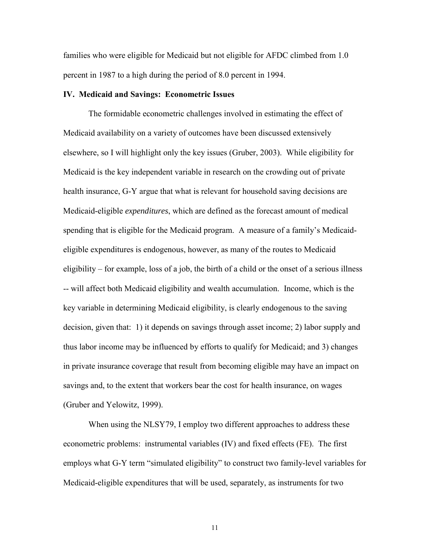families who were eligible for Medicaid but not eligible for AFDC climbed from 1.0 percent in 1987 to a high during the period of 8.0 percent in 1994.

### **IV. Medicaid and Savings: Econometric Issues**

 The formidable econometric challenges involved in estimating the effect of Medicaid availability on a variety of outcomes have been discussed extensively elsewhere, so I will highlight only the key issues (Gruber, 2003). While eligibility for Medicaid is the key independent variable in research on the crowding out of private health insurance, G-Y argue that what is relevant for household saving decisions are Medicaid-eligible *expenditures*, which are defined as the forecast amount of medical spending that is eligible for the Medicaid program. A measure of a family's Medicaideligible expenditures is endogenous, however, as many of the routes to Medicaid eligibility – for example, loss of a job, the birth of a child or the onset of a serious illness -- will affect both Medicaid eligibility and wealth accumulation. Income, which is the key variable in determining Medicaid eligibility, is clearly endogenous to the saving decision, given that: 1) it depends on savings through asset income; 2) labor supply and thus labor income may be influenced by efforts to qualify for Medicaid; and 3) changes in private insurance coverage that result from becoming eligible may have an impact on savings and, to the extent that workers bear the cost for health insurance, on wages (Gruber and Yelowitz, 1999).

 When using the NLSY79, I employ two different approaches to address these econometric problems: instrumental variables (IV) and fixed effects (FE). The first employs what G-Y term "simulated eligibility" to construct two family-level variables for Medicaid-eligible expenditures that will be used, separately, as instruments for two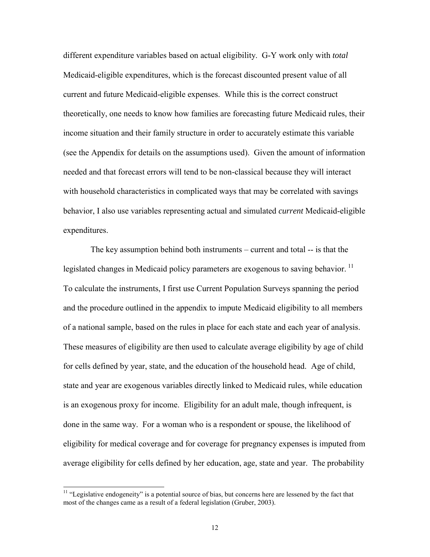different expenditure variables based on actual eligibility. G-Y work only with *total* Medicaid-eligible expenditures, which is the forecast discounted present value of all current and future Medicaid-eligible expenses. While this is the correct construct theoretically, one needs to know how families are forecasting future Medicaid rules, their income situation and their family structure in order to accurately estimate this variable (see the Appendix for details on the assumptions used). Given the amount of information needed and that forecast errors will tend to be non-classical because they will interact with household characteristics in complicated ways that may be correlated with savings behavior, I also use variables representing actual and simulated *current* Medicaid-eligible expenditures.

 The key assumption behind both instruments – current and total -- is that the legislated changes in Medicaid policy parameters are exogenous to saving behavior.<sup>11</sup> To calculate the instruments, I first use Current Population Surveys spanning the period and the procedure outlined in the appendix to impute Medicaid eligibility to all members of a national sample, based on the rules in place for each state and each year of analysis. These measures of eligibility are then used to calculate average eligibility by age of child for cells defined by year, state, and the education of the household head. Age of child, state and year are exogenous variables directly linked to Medicaid rules, while education is an exogenous proxy for income. Eligibility for an adult male, though infrequent, is done in the same way. For a woman who is a respondent or spouse, the likelihood of eligibility for medical coverage and for coverage for pregnancy expenses is imputed from average eligibility for cells defined by her education, age, state and year. The probability

<sup>&</sup>lt;sup>11</sup> "Legislative endogeneity" is a potential source of bias, but concerns here are lessened by the fact that most of the changes came as a result of a federal legislation (Gruber, 2003).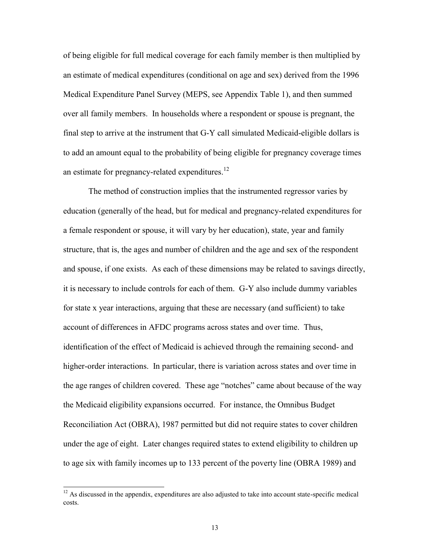of being eligible for full medical coverage for each family member is then multiplied by an estimate of medical expenditures (conditional on age and sex) derived from the 1996 Medical Expenditure Panel Survey (MEPS, see Appendix Table 1), and then summed over all family members. In households where a respondent or spouse is pregnant, the final step to arrive at the instrument that G-Y call simulated Medicaid-eligible dollars is to add an amount equal to the probability of being eligible for pregnancy coverage times an estimate for pregnancy-related expenditures. $12$ 

 The method of construction implies that the instrumented regressor varies by education (generally of the head, but for medical and pregnancy-related expenditures for a female respondent or spouse, it will vary by her education), state, year and family structure, that is, the ages and number of children and the age and sex of the respondent and spouse, if one exists. As each of these dimensions may be related to savings directly, it is necessary to include controls for each of them. G-Y also include dummy variables for state x year interactions, arguing that these are necessary (and sufficient) to take account of differences in AFDC programs across states and over time. Thus, identification of the effect of Medicaid is achieved through the remaining second- and higher-order interactions. In particular, there is variation across states and over time in the age ranges of children covered. These age "notches" came about because of the way the Medicaid eligibility expansions occurred. For instance, the Omnibus Budget Reconciliation Act (OBRA), 1987 permitted but did not require states to cover children under the age of eight. Later changes required states to extend eligibility to children up to age six with family incomes up to 133 percent of the poverty line (OBRA 1989) and

 $12$  As discussed in the appendix, expenditures are also adjusted to take into account state-specific medical costs.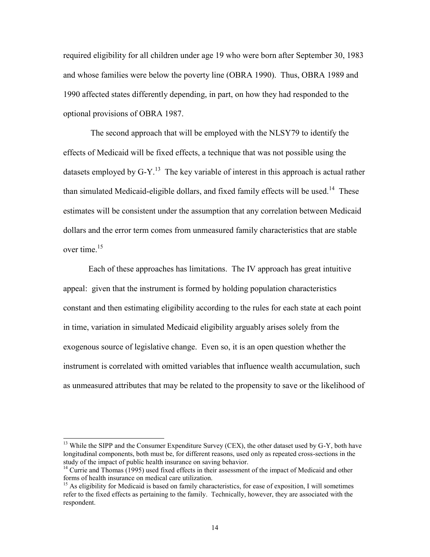required eligibility for all children under age 19 who were born after September 30, 1983 and whose families were below the poverty line (OBRA 1990). Thus, OBRA 1989 and 1990 affected states differently depending, in part, on how they had responded to the optional provisions of OBRA 1987.

 The second approach that will be employed with the NLSY79 to identify the effects of Medicaid will be fixed effects, a technique that was not possible using the datasets employed by  $G-Y$ .<sup>13</sup> The key variable of interest in this approach is actual rather than simulated Medicaid-eligible dollars, and fixed family effects will be used.<sup>14</sup> These estimates will be consistent under the assumption that any correlation between Medicaid dollars and the error term comes from unmeasured family characteristics that are stable over time.<sup>15</sup>

Each of these approaches has limitations. The IV approach has great intuitive appeal: given that the instrument is formed by holding population characteristics constant and then estimating eligibility according to the rules for each state at each point in time, variation in simulated Medicaid eligibility arguably arises solely from the exogenous source of legislative change. Even so, it is an open question whether the instrument is correlated with omitted variables that influence wealth accumulation, such as unmeasured attributes that may be related to the propensity to save or the likelihood of

<sup>&</sup>lt;sup>13</sup> While the SIPP and the Consumer Expenditure Survey (CEX), the other dataset used by G-Y, both have longitudinal components, both must be, for different reasons, used only as repeated cross-sections in the study of the impact of public health insurance on saving behavior.

<sup>&</sup>lt;sup>14</sup> Currie and Thomas (1995) used fixed effects in their assessment of the impact of Medicaid and other forms of health insurance on medical care utilization.

<sup>&</sup>lt;sup>15</sup> As eligibility for Medicaid is based on family characteristics, for ease of exposition, I will sometimes refer to the fixed effects as pertaining to the family. Technically, however, they are associated with the respondent.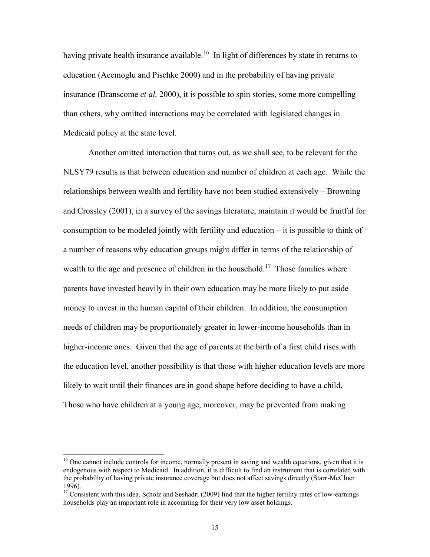having private health insurance available.<sup>16</sup> In light of differences by state in returns to education (Acemoglu and Pischke 2000) and in the probability of having private insurance (Branscome *et al.* 2000), it is possible to spin stories, some more compelling than others, why omitted interactions may be correlated with legislated changes in Medicaid policy at the state level.

Another omitted interaction that turns out, as we shall see, to be relevant for the NLSY79 results is that between education and number of children at each age. While the relationships between wealth and fertility have not been studied extensively – Browning and Crossley (2001), in a survey of the savings literature, maintain it would be fruitful for consumption to be modeled jointly with fertility and education – it is possible to think of a number of reasons why education groups might differ in terms of the relationship of wealth to the age and presence of children in the household.<sup>17</sup> Those families where parents have invested heavily in their own education may be more likely to put aside money to invest in the human capital of their children. In addition, the consumption needs of children may be proportionately greater in lower-income households than in higher-income ones. Given that the age of parents at the birth of a first child rises with the education level, another possibility is that those with higher education levels are more likely to wait until their finances are in good shape before deciding to have a child. Those who have children at a young age, moreover, may be prevented from making

<sup>&</sup>lt;sup>16</sup> One cannot include controls for income, normally present in saving and wealth equations, given that it is endogenous with respect to Medicaid. In addition, it is difficult to find an instrument that is correlated with the probability of having private insurance coverage but does not affect savings directly (Starr-McCluer 1996).

<sup>&</sup>lt;sup>17</sup> Consistent with this idea, Scholz and Seshadri (2009) find that the higher fertility rates of low-earnings households play an important role in accounting for their very low asset holdings.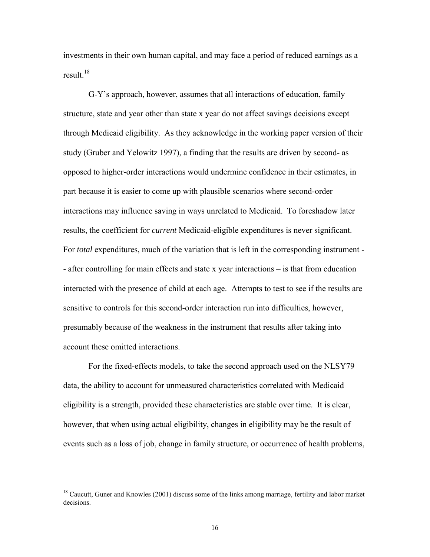investments in their own human capital, and may face a period of reduced earnings as a result. $^{18}$ 

G-Y's approach, however, assumes that all interactions of education, family structure, state and year other than state x year do not affect savings decisions except through Medicaid eligibility. As they acknowledge in the working paper version of their study (Gruber and Yelowitz 1997), a finding that the results are driven by second- as opposed to higher-order interactions would undermine confidence in their estimates, in part because it is easier to come up with plausible scenarios where second-order interactions may influence saving in ways unrelated to Medicaid. To foreshadow later results, the coefficient for *current* Medicaid-eligible expenditures is never significant. For *total* expenditures, much of the variation that is left in the corresponding instrument -- after controlling for main effects and state x year interactions – is that from education interacted with the presence of child at each age. Attempts to test to see if the results are sensitive to controls for this second-order interaction run into difficulties, however, presumably because of the weakness in the instrument that results after taking into account these omitted interactions.

For the fixed-effects models, to take the second approach used on the NLSY79 data, the ability to account for unmeasured characteristics correlated with Medicaid eligibility is a strength, provided these characteristics are stable over time. It is clear, however, that when using actual eligibility, changes in eligibility may be the result of events such as a loss of job, change in family structure, or occurrence of health problems,

<sup>&</sup>lt;sup>18</sup> Caucutt, Guner and Knowles (2001) discuss some of the links among marriage, fertility and labor market decisions.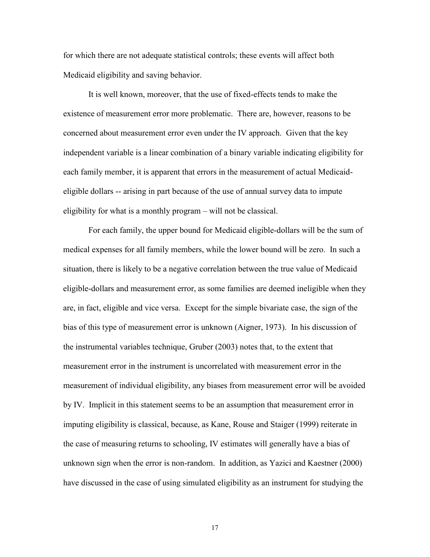for which there are not adequate statistical controls; these events will affect both Medicaid eligibility and saving behavior.

It is well known, moreover, that the use of fixed-effects tends to make the existence of measurement error more problematic. There are, however, reasons to be concerned about measurement error even under the IV approach. Given that the key independent variable is a linear combination of a binary variable indicating eligibility for each family member, it is apparent that errors in the measurement of actual Medicaideligible dollars -- arising in part because of the use of annual survey data to impute eligibility for what is a monthly program – will not be classical.

For each family, the upper bound for Medicaid eligible-dollars will be the sum of medical expenses for all family members, while the lower bound will be zero. In such a situation, there is likely to be a negative correlation between the true value of Medicaid eligible-dollars and measurement error, as some families are deemed ineligible when they are, in fact, eligible and vice versa. Except for the simple bivariate case, the sign of the bias of this type of measurement error is unknown (Aigner, 1973). In his discussion of the instrumental variables technique, Gruber (2003) notes that, to the extent that measurement error in the instrument is uncorrelated with measurement error in the measurement of individual eligibility, any biases from measurement error will be avoided by IV. Implicit in this statement seems to be an assumption that measurement error in imputing eligibility is classical, because, as Kane, Rouse and Staiger (1999) reiterate in the case of measuring returns to schooling, IV estimates will generally have a bias of unknown sign when the error is non-random. In addition, as Yazici and Kaestner (2000) have discussed in the case of using simulated eligibility as an instrument for studying the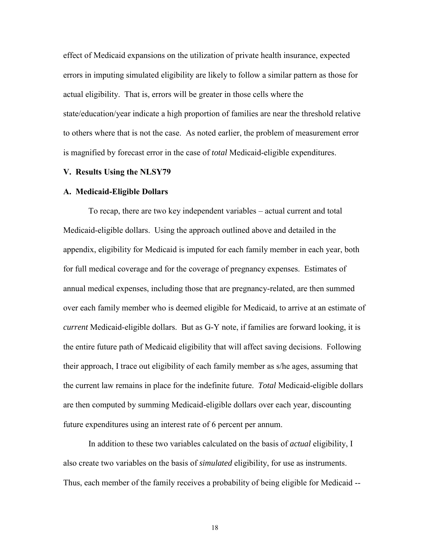effect of Medicaid expansions on the utilization of private health insurance, expected errors in imputing simulated eligibility are likely to follow a similar pattern as those for actual eligibility. That is, errors will be greater in those cells where the state/education/year indicate a high proportion of families are near the threshold relative to others where that is not the case. As noted earlier, the problem of measurement error is magnified by forecast error in the case of *total* Medicaid-eligible expenditures.

#### **V. Results Using the NLSY79**

#### **A. Medicaid-Eligible Dollars**

 To recap, there are two key independent variables – actual current and total Medicaid-eligible dollars. Using the approach outlined above and detailed in the appendix, eligibility for Medicaid is imputed for each family member in each year, both for full medical coverage and for the coverage of pregnancy expenses. Estimates of annual medical expenses, including those that are pregnancy-related, are then summed over each family member who is deemed eligible for Medicaid, to arrive at an estimate of *current* Medicaid-eligible dollars. But as G-Y note, if families are forward looking, it is the entire future path of Medicaid eligibility that will affect saving decisions. Following their approach, I trace out eligibility of each family member as s/he ages, assuming that the current law remains in place for the indefinite future. *Total* Medicaid-eligible dollars are then computed by summing Medicaid-eligible dollars over each year, discounting future expenditures using an interest rate of 6 percent per annum.

In addition to these two variables calculated on the basis of *actual* eligibility, I also create two variables on the basis of *simulated* eligibility, for use as instruments. Thus, each member of the family receives a probability of being eligible for Medicaid --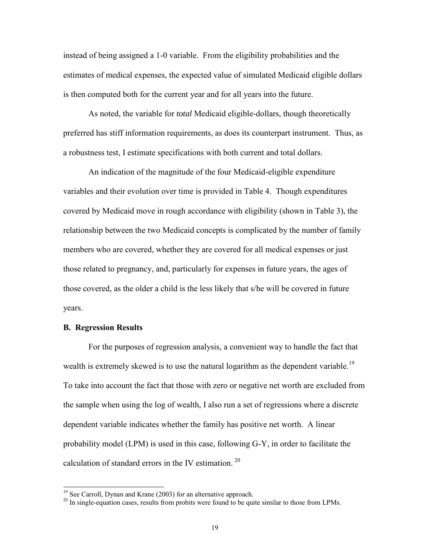instead of being assigned a 1-0 variable. From the eligibility probabilities and the estimates of medical expenses, the expected value of simulated Medicaid eligible dollars is then computed both for the current year and for all years into the future.

As noted, the variable for *total* Medicaid eligible-dollars, though theoretically preferred has stiff information requirements, as does its counterpart instrument. Thus, as a robustness test, I estimate specifications with both current and total dollars.

An indication of the magnitude of the four Medicaid-eligible expenditure variables and their evolution over time is provided in Table 4. Though expenditures covered by Medicaid move in rough accordance with eligibility (shown in Table 3), the relationship between the two Medicaid concepts is complicated by the number of family members who are covered, whether they are covered for all medical expenses or just those related to pregnancy, and, particularly for expenses in future years, the ages of those covered, as the older a child is the less likely that s/he will be covered in future years.

## **B. Regression Results**

 $\overline{a}$ 

 For the purposes of regression analysis, a convenient way to handle the fact that wealth is extremely skewed is to use the natural logarithm as the dependent variable.<sup>19</sup> To take into account the fact that those with zero or negative net worth are excluded from the sample when using the log of wealth, I also run a set of regressions where a discrete dependent variable indicates whether the family has positive net worth. A linear probability model (LPM) is used in this case, following G-Y, in order to facilitate the calculation of standard errors in the IV estimation.<sup>20</sup>

<sup>&</sup>lt;sup>19</sup> See Carroll, Dynan and Krane (2003) for an alternative approach.

<sup>&</sup>lt;sup>20</sup> In single-equation cases, results from probits were found to be quite similar to those from LPMs.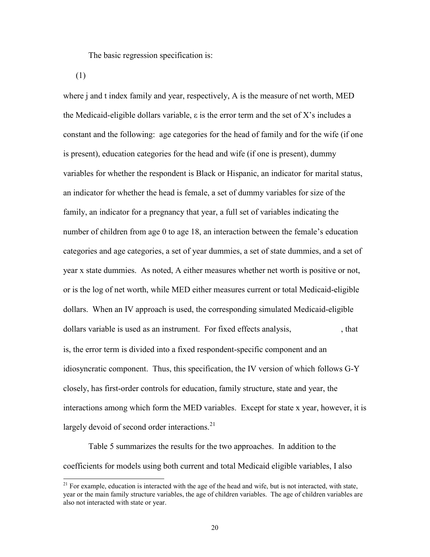The basic regression specification is:

(1)

 $\overline{a}$ 

where j and t index family and year, respectively, A is the measure of net worth, MED the Medicaid-eligible dollars variable,  $\varepsilon$  is the error term and the set of X's includes a constant and the following: age categories for the head of family and for the wife (if one is present), education categories for the head and wife (if one is present), dummy variables for whether the respondent is Black or Hispanic, an indicator for marital status, an indicator for whether the head is female, a set of dummy variables for size of the family, an indicator for a pregnancy that year, a full set of variables indicating the number of children from age 0 to age 18, an interaction between the female's education categories and age categories, a set of year dummies, a set of state dummies, and a set of year x state dummies. As noted, A either measures whether net worth is positive or not, or is the log of net worth, while MED either measures current or total Medicaid-eligible dollars. When an IV approach is used, the corresponding simulated Medicaid-eligible dollars variable is used as an instrument. For fixed effects analysis,  $\mu$ , that is, the error term is divided into a fixed respondent-specific component and an idiosyncratic component. Thus, this specification, the IV version of which follows G-Y closely, has first-order controls for education, family structure, state and year, the interactions among which form the MED variables. Except for state x year, however, it is largely devoid of second order interactions.<sup>21</sup>

 Table 5 summarizes the results for the two approaches. In addition to the coefficients for models using both current and total Medicaid eligible variables, I also

<sup>&</sup>lt;sup>21</sup> For example, education is interacted with the age of the head and wife, but is not interacted, with state, year or the main family structure variables, the age of children variables. The age of children variables are also not interacted with state or year.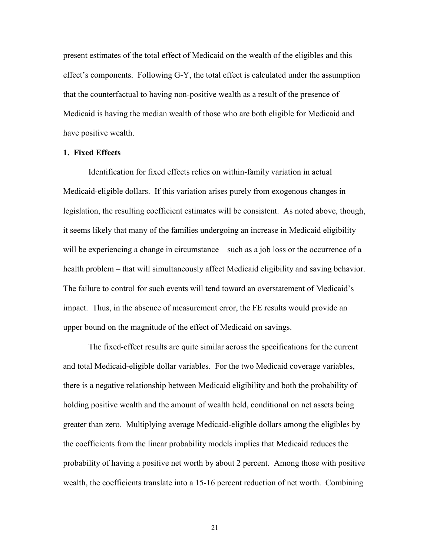present estimates of the total effect of Medicaid on the wealth of the eligibles and this effect's components. Following G-Y, the total effect is calculated under the assumption that the counterfactual to having non-positive wealth as a result of the presence of Medicaid is having the median wealth of those who are both eligible for Medicaid and have positive wealth.

## **1. Fixed Effects**

Identification for fixed effects relies on within-family variation in actual Medicaid-eligible dollars. If this variation arises purely from exogenous changes in legislation, the resulting coefficient estimates will be consistent. As noted above, though, it seems likely that many of the families undergoing an increase in Medicaid eligibility will be experiencing a change in circumstance – such as a job loss or the occurrence of a health problem – that will simultaneously affect Medicaid eligibility and saving behavior. The failure to control for such events will tend toward an overstatement of Medicaid's impact. Thus, in the absence of measurement error, the FE results would provide an upper bound on the magnitude of the effect of Medicaid on savings.

The fixed-effect results are quite similar across the specifications for the current and total Medicaid-eligible dollar variables. For the two Medicaid coverage variables, there is a negative relationship between Medicaid eligibility and both the probability of holding positive wealth and the amount of wealth held, conditional on net assets being greater than zero. Multiplying average Medicaid-eligible dollars among the eligibles by the coefficients from the linear probability models implies that Medicaid reduces the probability of having a positive net worth by about 2 percent. Among those with positive wealth, the coefficients translate into a 15-16 percent reduction of net worth. Combining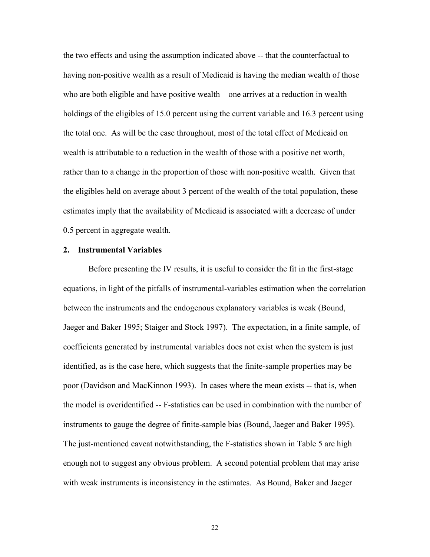the two effects and using the assumption indicated above -- that the counterfactual to having non-positive wealth as a result of Medicaid is having the median wealth of those who are both eligible and have positive wealth – one arrives at a reduction in wealth holdings of the eligibles of 15.0 percent using the current variable and 16.3 percent using the total one. As will be the case throughout, most of the total effect of Medicaid on wealth is attributable to a reduction in the wealth of those with a positive net worth, rather than to a change in the proportion of those with non-positive wealth. Given that the eligibles held on average about 3 percent of the wealth of the total population, these estimates imply that the availability of Medicaid is associated with a decrease of under 0.5 percent in aggregate wealth.

### **2. Instrumental Variables**

Before presenting the IV results, it is useful to consider the fit in the first-stage equations, in light of the pitfalls of instrumental-variables estimation when the correlation between the instruments and the endogenous explanatory variables is weak (Bound, Jaeger and Baker 1995; Staiger and Stock 1997). The expectation, in a finite sample, of coefficients generated by instrumental variables does not exist when the system is just identified, as is the case here, which suggests that the finite-sample properties may be poor (Davidson and MacKinnon 1993). In cases where the mean exists -- that is, when the model is overidentified -- F-statistics can be used in combination with the number of instruments to gauge the degree of finite-sample bias (Bound, Jaeger and Baker 1995). The just-mentioned caveat notwithstanding, the F-statistics shown in Table 5 are high enough not to suggest any obvious problem. A second potential problem that may arise with weak instruments is inconsistency in the estimates. As Bound, Baker and Jaeger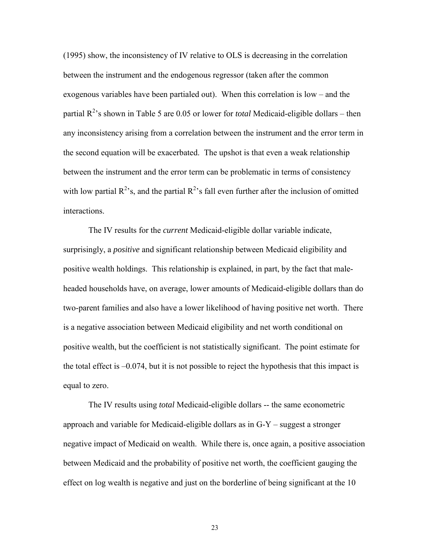(1995) show, the inconsistency of IV relative to OLS is decreasing in the correlation between the instrument and the endogenous regressor (taken after the common exogenous variables have been partialed out). When this correlation is low – and the partial R<sup>2</sup>'s shown in Table 5 are 0.05 or lower for *total* Medicaid-eligible dollars – then any inconsistency arising from a correlation between the instrument and the error term in the second equation will be exacerbated. The upshot is that even a weak relationship between the instrument and the error term can be problematic in terms of consistency with low partial  $R^2$ 's, and the partial  $R^2$ 's fall even further after the inclusion of omitted interactions.

The IV results for the *current* Medicaid-eligible dollar variable indicate, surprisingly, a *positive* and significant relationship between Medicaid eligibility and positive wealth holdings. This relationship is explained, in part, by the fact that maleheaded households have, on average, lower amounts of Medicaid-eligible dollars than do two-parent families and also have a lower likelihood of having positive net worth. There is a negative association between Medicaid eligibility and net worth conditional on positive wealth, but the coefficient is not statistically significant. The point estimate for the total effect is –0.074, but it is not possible to reject the hypothesis that this impact is equal to zero.

The IV results using *total* Medicaid-eligible dollars -- the same econometric approach and variable for Medicaid-eligible dollars as in G-Y – suggest a stronger negative impact of Medicaid on wealth. While there is, once again, a positive association between Medicaid and the probability of positive net worth, the coefficient gauging the effect on log wealth is negative and just on the borderline of being significant at the 10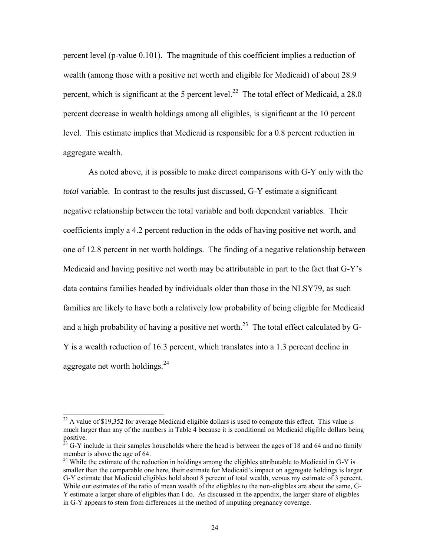percent level (p-value 0.101). The magnitude of this coefficient implies a reduction of wealth (among those with a positive net worth and eligible for Medicaid) of about 28.9 percent, which is significant at the 5 percent level.<sup>22</sup> The total effect of Medicaid, a 28.0 percent decrease in wealth holdings among all eligibles, is significant at the 10 percent level. This estimate implies that Medicaid is responsible for a 0.8 percent reduction in aggregate wealth.

As noted above, it is possible to make direct comparisons with G-Y only with the *total* variable. In contrast to the results just discussed, G-Y estimate a significant negative relationship between the total variable and both dependent variables. Their coefficients imply a 4.2 percent reduction in the odds of having positive net worth, and one of 12.8 percent in net worth holdings. The finding of a negative relationship between Medicaid and having positive net worth may be attributable in part to the fact that G-Y's data contains families headed by individuals older than those in the NLSY79, as such families are likely to have both a relatively low probability of being eligible for Medicaid and a high probability of having a positive net worth.<sup>23</sup> The total effect calculated by G-Y is a wealth reduction of 16.3 percent, which translates into a 1.3 percent decline in aggregate net worth holdings.<sup>24</sup>

 $22$  A value of \$19,352 for average Medicaid eligible dollars is used to compute this effect. This value is much larger than any of the numbers in Table 4 because it is conditional on Medicaid eligible dollars being positive.

 $^{23}$  G-Y include in their samples households where the head is between the ages of 18 and 64 and no family member is above the age of 64.

<sup>&</sup>lt;sup>24</sup> While the estimate of the reduction in holdings among the eligibles attributable to Medicaid in G-Y is smaller than the comparable one here, their estimate for Medicaid's impact on aggregate holdings is larger. G-Y estimate that Medicaid eligibles hold about 8 percent of total wealth, versus my estimate of 3 percent. While our estimates of the ratio of mean wealth of the eligibles to the non-eligibles are about the same, G-Y estimate a larger share of eligibles than I do. As discussed in the appendix, the larger share of eligibles in G-Y appears to stem from differences in the method of imputing pregnancy coverage.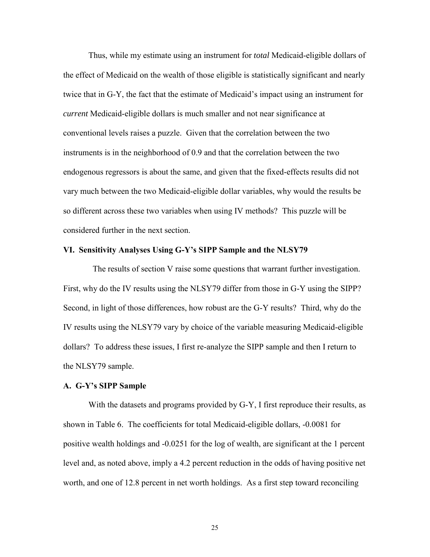Thus, while my estimate using an instrument for *total* Medicaid-eligible dollars of the effect of Medicaid on the wealth of those eligible is statistically significant and nearly twice that in G-Y, the fact that the estimate of Medicaid's impact using an instrument for *current* Medicaid-eligible dollars is much smaller and not near significance at conventional levels raises a puzzle. Given that the correlation between the two instruments is in the neighborhood of 0.9 and that the correlation between the two endogenous regressors is about the same, and given that the fixed-effects results did not vary much between the two Medicaid-eligible dollar variables, why would the results be so different across these two variables when using IV methods? This puzzle will be considered further in the next section.

#### **VI. Sensitivity Analyses Using G-Y's SIPP Sample and the NLSY79**

 The results of section V raise some questions that warrant further investigation. First, why do the IV results using the NLSY79 differ from those in G-Y using the SIPP? Second, in light of those differences, how robust are the G-Y results? Third, why do the IV results using the NLSY79 vary by choice of the variable measuring Medicaid-eligible dollars? To address these issues, I first re-analyze the SIPP sample and then I return to the NLSY79 sample.

## **A. G-Y's SIPP Sample**

With the datasets and programs provided by G-Y, I first reproduce their results, as shown in Table 6. The coefficients for total Medicaid-eligible dollars, -0.0081 for positive wealth holdings and -0.0251 for the log of wealth, are significant at the 1 percent level and, as noted above, imply a 4.2 percent reduction in the odds of having positive net worth, and one of 12.8 percent in net worth holdings. As a first step toward reconciling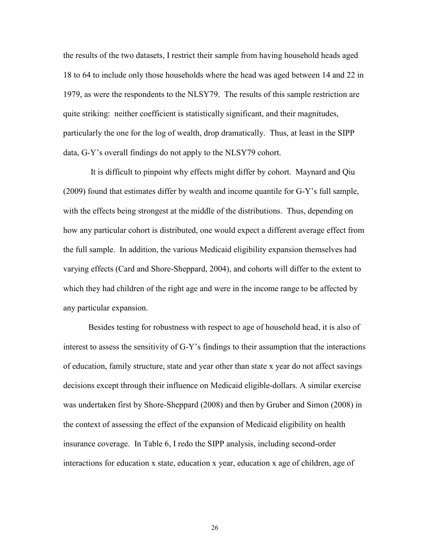the results of the two datasets, I restrict their sample from having household heads aged 18 to 64 to include only those households where the head was aged between 14 and 22 in 1979, as were the respondents to the NLSY79. The results of this sample restriction are quite striking: neither coefficient is statistically significant, and their magnitudes, particularly the one for the log of wealth, drop dramatically. Thus, at least in the SIPP data, G-Y's overall findings do not apply to the NLSY79 cohort.

It is difficult to pinpoint why effects might differ by cohort. Maynard and Qiu (2009) found that estimates differ by wealth and income quantile for G-Y's full sample, with the effects being strongest at the middle of the distributions. Thus, depending on how any particular cohort is distributed, one would expect a different average effect from the full sample. In addition, the various Medicaid eligibility expansion themselves had varying effects (Card and Shore-Sheppard, 2004), and cohorts will differ to the extent to which they had children of the right age and were in the income range to be affected by any particular expansion.

 Besides testing for robustness with respect to age of household head, it is also of interest to assess the sensitivity of G-Y's findings to their assumption that the interactions of education, family structure, state and year other than state x year do not affect savings decisions except through their influence on Medicaid eligible-dollars. A similar exercise was undertaken first by Shore-Sheppard (2008) and then by Gruber and Simon (2008) in the context of assessing the effect of the expansion of Medicaid eligibility on health insurance coverage. In Table 6, I redo the SIPP analysis, including second-order interactions for education x state, education x year, education x age of children, age of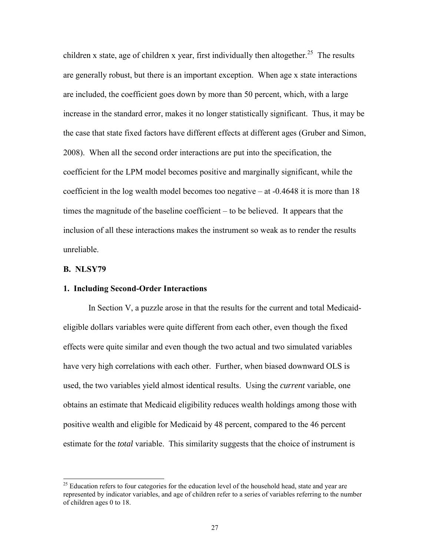children x state, age of children x year, first individually then altogether.<sup>25</sup> The results are generally robust, but there is an important exception. When age x state interactions are included, the coefficient goes down by more than 50 percent, which, with a large increase in the standard error, makes it no longer statistically significant. Thus, it may be the case that state fixed factors have different effects at different ages (Gruber and Simon, 2008). When all the second order interactions are put into the specification, the coefficient for the LPM model becomes positive and marginally significant, while the coefficient in the log wealth model becomes too negative  $-$  at  $-0.4648$  it is more than 18 times the magnitude of the baseline coefficient – to be believed. It appears that the inclusion of all these interactions makes the instrument so weak as to render the results unreliable.

## **B. NLSY79**

 $\overline{a}$ 

### **1. Including Second-Order Interactions**

In Section V, a puzzle arose in that the results for the current and total Medicaideligible dollars variables were quite different from each other, even though the fixed effects were quite similar and even though the two actual and two simulated variables have very high correlations with each other. Further, when biased downward OLS is used, the two variables yield almost identical results. Using the *current* variable, one obtains an estimate that Medicaid eligibility reduces wealth holdings among those with positive wealth and eligible for Medicaid by 48 percent, compared to the 46 percent estimate for the *total* variable. This similarity suggests that the choice of instrument is

<sup>&</sup>lt;sup>25</sup> Education refers to four categories for the education level of the household head, state and year are represented by indicator variables, and age of children refer to a series of variables referring to the number of children ages 0 to 18.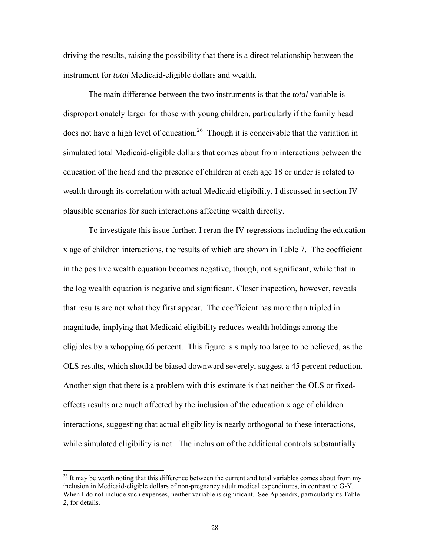driving the results, raising the possibility that there is a direct relationship between the instrument for *total* Medicaid-eligible dollars and wealth.

The main difference between the two instruments is that the *total* variable is disproportionately larger for those with young children, particularly if the family head does not have a high level of education.<sup>26</sup> Though it is conceivable that the variation in simulated total Medicaid-eligible dollars that comes about from interactions between the education of the head and the presence of children at each age 18 or under is related to wealth through its correlation with actual Medicaid eligibility, I discussed in section IV plausible scenarios for such interactions affecting wealth directly.

To investigate this issue further, I reran the IV regressions including the education x age of children interactions, the results of which are shown in Table 7. The coefficient in the positive wealth equation becomes negative, though, not significant, while that in the log wealth equation is negative and significant. Closer inspection, however, reveals that results are not what they first appear. The coefficient has more than tripled in magnitude, implying that Medicaid eligibility reduces wealth holdings among the eligibles by a whopping 66 percent. This figure is simply too large to be believed, as the OLS results, which should be biased downward severely, suggest a 45 percent reduction. Another sign that there is a problem with this estimate is that neither the OLS or fixedeffects results are much affected by the inclusion of the education x age of children interactions, suggesting that actual eligibility is nearly orthogonal to these interactions, while simulated eligibility is not. The inclusion of the additional controls substantially

<sup>&</sup>lt;sup>26</sup> It may be worth noting that this difference between the current and total variables comes about from my inclusion in Medicaid-eligible dollars of non-pregnancy adult medical expenditures, in contrast to G-Y. When I do not include such expenses, neither variable is significant. See Appendix, particularly its Table 2, for details.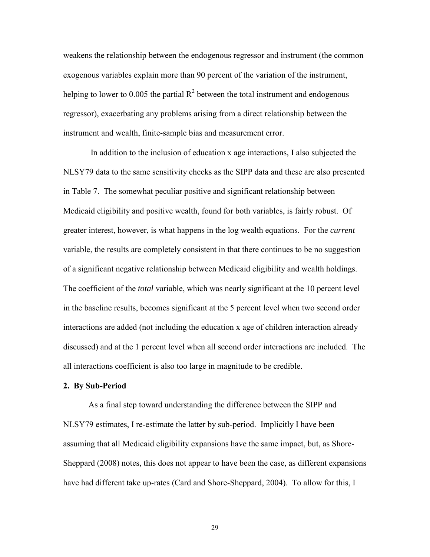weakens the relationship between the endogenous regressor and instrument (the common exogenous variables explain more than 90 percent of the variation of the instrument, helping to lower to 0.005 the partial  $R^2$  between the total instrument and endogenous regressor), exacerbating any problems arising from a direct relationship between the instrument and wealth, finite-sample bias and measurement error.

 In addition to the inclusion of education x age interactions, I also subjected the NLSY79 data to the same sensitivity checks as the SIPP data and these are also presented in Table 7. The somewhat peculiar positive and significant relationship between Medicaid eligibility and positive wealth, found for both variables, is fairly robust. Of greater interest, however, is what happens in the log wealth equations. For the *current*  variable, the results are completely consistent in that there continues to be no suggestion of a significant negative relationship between Medicaid eligibility and wealth holdings. The coefficient of the *total* variable, which was nearly significant at the 10 percent level in the baseline results, becomes significant at the 5 percent level when two second order interactions are added (not including the education x age of children interaction already discussed) and at the 1 percent level when all second order interactions are included. The all interactions coefficient is also too large in magnitude to be credible.

## **2. By Sub-Period**

As a final step toward understanding the difference between the SIPP and NLSY79 estimates, I re-estimate the latter by sub-period. Implicitly I have been assuming that all Medicaid eligibility expansions have the same impact, but, as Shore-Sheppard (2008) notes, this does not appear to have been the case, as different expansions have had different take up-rates (Card and Shore-Sheppard, 2004). To allow for this, I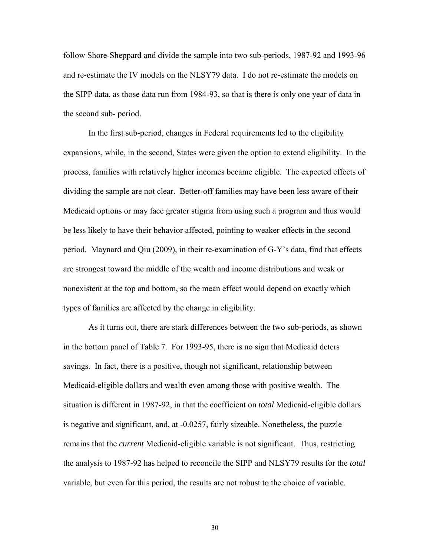follow Shore-Sheppard and divide the sample into two sub-periods, 1987-92 and 1993-96 and re-estimate the IV models on the NLSY79 data. I do not re-estimate the models on the SIPP data, as those data run from 1984-93, so that is there is only one year of data in the second sub- period.

In the first sub-period, changes in Federal requirements led to the eligibility expansions, while, in the second, States were given the option to extend eligibility. In the process, families with relatively higher incomes became eligible. The expected effects of dividing the sample are not clear. Better-off families may have been less aware of their Medicaid options or may face greater stigma from using such a program and thus would be less likely to have their behavior affected, pointing to weaker effects in the second period. Maynard and Qiu (2009), in their re-examination of G-Y's data, find that effects are strongest toward the middle of the wealth and income distributions and weak or nonexistent at the top and bottom, so the mean effect would depend on exactly which types of families are affected by the change in eligibility.

As it turns out, there are stark differences between the two sub-periods, as shown in the bottom panel of Table 7. For 1993-95, there is no sign that Medicaid deters savings. In fact, there is a positive, though not significant, relationship between Medicaid-eligible dollars and wealth even among those with positive wealth. The situation is different in 1987-92, in that the coefficient on *total* Medicaid-eligible dollars is negative and significant, and, at -0.0257, fairly sizeable. Nonetheless, the puzzle remains that the *current* Medicaid-eligible variable is not significant. Thus, restricting the analysis to 1987-92 has helped to reconcile the SIPP and NLSY79 results for the *total* variable, but even for this period, the results are not robust to the choice of variable.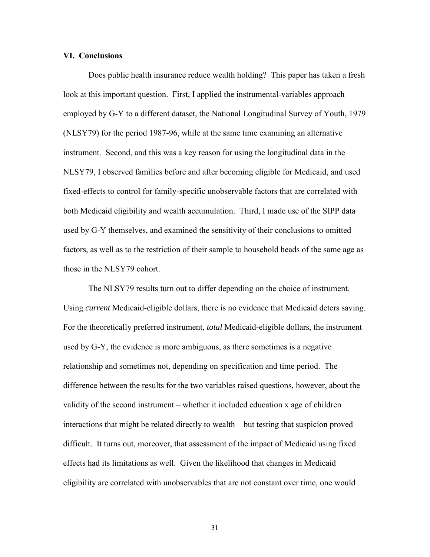### **VI. Conclusions**

Does public health insurance reduce wealth holding? This paper has taken a fresh look at this important question. First, I applied the instrumental-variables approach employed by G-Y to a different dataset, the National Longitudinal Survey of Youth, 1979 (NLSY79) for the period 1987-96, while at the same time examining an alternative instrument. Second, and this was a key reason for using the longitudinal data in the NLSY79, I observed families before and after becoming eligible for Medicaid, and used fixed-effects to control for family-specific unobservable factors that are correlated with both Medicaid eligibility and wealth accumulation. Third, I made use of the SIPP data used by G-Y themselves, and examined the sensitivity of their conclusions to omitted factors, as well as to the restriction of their sample to household heads of the same age as those in the NLSY79 cohort.

The NLSY79 results turn out to differ depending on the choice of instrument. Using *current* Medicaid-eligible dollars, there is no evidence that Medicaid deters saving. For the theoretically preferred instrument, *total* Medicaid-eligible dollars, the instrument used by G-Y, the evidence is more ambiguous, as there sometimes is a negative relationship and sometimes not, depending on specification and time period. The difference between the results for the two variables raised questions, however, about the validity of the second instrument – whether it included education x age of children interactions that might be related directly to wealth – but testing that suspicion proved difficult. It turns out, moreover, that assessment of the impact of Medicaid using fixed effects had its limitations as well. Given the likelihood that changes in Medicaid eligibility are correlated with unobservables that are not constant over time, one would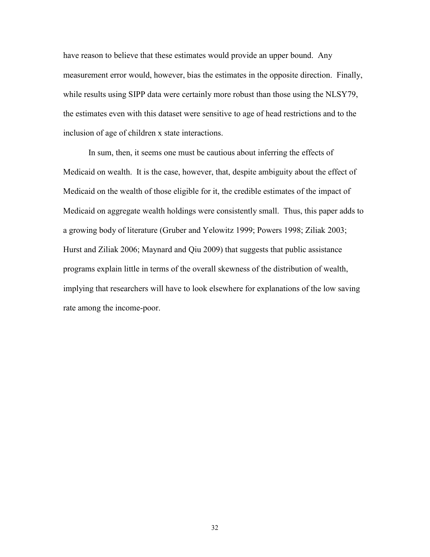have reason to believe that these estimates would provide an upper bound. Any measurement error would, however, bias the estimates in the opposite direction. Finally, while results using SIPP data were certainly more robust than those using the NLSY79, the estimates even with this dataset were sensitive to age of head restrictions and to the inclusion of age of children x state interactions.

In sum, then, it seems one must be cautious about inferring the effects of Medicaid on wealth. It is the case, however, that, despite ambiguity about the effect of Medicaid on the wealth of those eligible for it, the credible estimates of the impact of Medicaid on aggregate wealth holdings were consistently small. Thus, this paper adds to a growing body of literature (Gruber and Yelowitz 1999; Powers 1998; Ziliak 2003; Hurst and Ziliak 2006; Maynard and Qiu 2009) that suggests that public assistance programs explain little in terms of the overall skewness of the distribution of wealth, implying that researchers will have to look elsewhere for explanations of the low saving rate among the income-poor.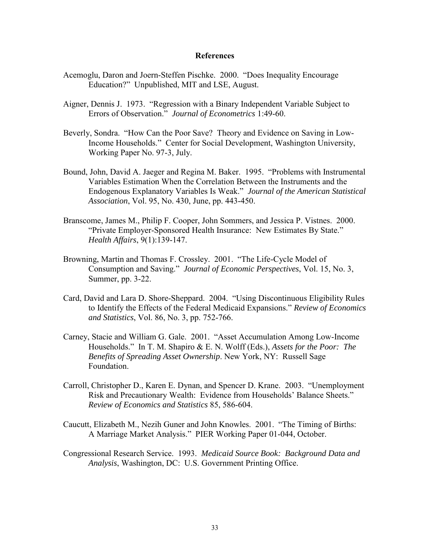### **References**

- Acemoglu, Daron and Joern-Steffen Pischke. 2000. "Does Inequality Encourage Education?" Unpublished, MIT and LSE, August.
- Aigner, Dennis J. 1973. "Regression with a Binary Independent Variable Subject to Errors of Observation." *Journal of Econometrics* 1:49-60.
- Beverly, Sondra. "How Can the Poor Save? Theory and Evidence on Saving in Low-Income Households." Center for Social Development, Washington University, Working Paper No. 97-3, July.
- Bound, John, David A. Jaeger and Regina M. Baker. 1995. "Problems with Instrumental Variables Estimation When the Correlation Between the Instruments and the Endogenous Explanatory Variables Is Weak." *Journal of the American Statistical Association*, Vol. 95, No. 430, June, pp. 443-450.
- Branscome, James M., Philip F. Cooper, John Sommers, and Jessica P. Vistnes. 2000. "Private Employer-Sponsored Health Insurance: New Estimates By State." *Health Affairs*, 9(1):139-147.
- Browning, Martin and Thomas F. Crossley. 2001. "The Life-Cycle Model of Consumption and Saving." *Journal of Economic Perspectives*, Vol. 15, No. 3, Summer, pp. 3-22.
- Card, David and Lara D. Shore-Sheppard. 2004. "Using Discontinuous Eligibility Rules to Identify the Effects of the Federal Medicaid Expansions." *Review of Economics and Statistics*, Vol. 86, No. 3, pp. 752-766.
- Carney, Stacie and William G. Gale. 2001. "Asset Accumulation Among Low-Income Households." In T. M. Shapiro & E. N. Wolff (Eds.), *Assets for the Poor: The Benefits of Spreading Asset Ownership*. New York, NY: Russell Sage Foundation.
- Carroll, Christopher D., Karen E. Dynan, and Spencer D. Krane. 2003. "Unemployment Risk and Precautionary Wealth: Evidence from Households' Balance Sheets." *Review of Economics and Statistics* 85, 586-604.
- Caucutt, Elizabeth M., Nezih Guner and John Knowles. 2001. "The Timing of Births: A Marriage Market Analysis." PIER Working Paper 01-044, October.
- Congressional Research Service. 1993. *Medicaid Source Book: Background Data and Analysis*, Washington, DC: U.S. Government Printing Office.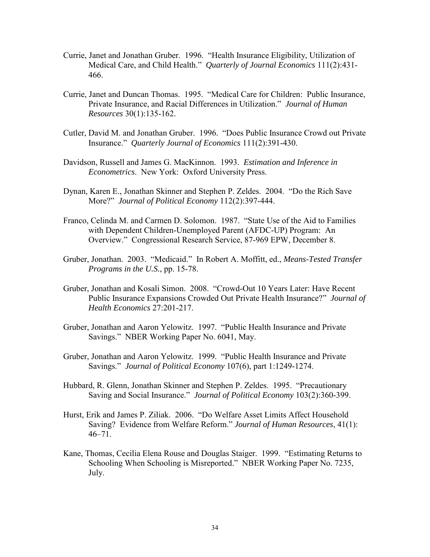- Currie, Janet and Jonathan Gruber. 1996. "Health Insurance Eligibility, Utilization of Medical Care, and Child Health." *Quarterly of Journal Economics* 111(2):431- 466.
- Currie, Janet and Duncan Thomas. 1995. "Medical Care for Children: Public Insurance, Private Insurance, and Racial Differences in Utilization." *Journal of Human Resources* 30(1):135-162.
- Cutler, David M. and Jonathan Gruber. 1996. "Does Public Insurance Crowd out Private Insurance." *Quarterly Journal of Economics* 111(2):391-430.
- Davidson, Russell and James G. MacKinnon. 1993. *Estimation and Inference in Econometrics*. New York: Oxford University Press.
- Dynan, Karen E., Jonathan Skinner and Stephen P. Zeldes. 2004. "Do the Rich Save More?" *Journal of Political Economy* 112(2):397-444.
- Franco, Celinda M. and Carmen D. Solomon. 1987. "State Use of the Aid to Families with Dependent Children-Unemployed Parent (AFDC-UP) Program: An Overview." Congressional Research Service, 87-969 EPW, December 8.
- Gruber, Jonathan. 2003. "Medicaid." In Robert A. Moffitt, ed., *Means-Tested Transfer Programs in the U.S.*, pp. 15-78.
- Gruber, Jonathan and Kosali Simon. 2008. "Crowd-Out 10 Years Later: Have Recent Public Insurance Expansions Crowded Out Private Health Insurance?" *Journal of Health Economics* 27:201-217.
- Gruber, Jonathan and Aaron Yelowitz. 1997. "Public Health Insurance and Private Savings." NBER Working Paper No. 6041, May.
- Gruber, Jonathan and Aaron Yelowitz. 1999. "Public Health Insurance and Private Savings." *Journal of Political Economy* 107(6), part 1:1249-1274.
- Hubbard, R. Glenn, Jonathan Skinner and Stephen P. Zeldes. 1995. "Precautionary Saving and Social Insurance." *Journal of Political Economy* 103(2):360-399.
- Hurst, Erik and James P. Ziliak. 2006. "Do Welfare Asset Limits Affect Household Saving? Evidence from Welfare Reform." *Journal of Human Resources*, 41(1):  $46 - 71$ .
- Kane, Thomas, Cecilia Elena Rouse and Douglas Staiger. 1999. "Estimating Returns to Schooling When Schooling is Misreported." NBER Working Paper No. 7235, July.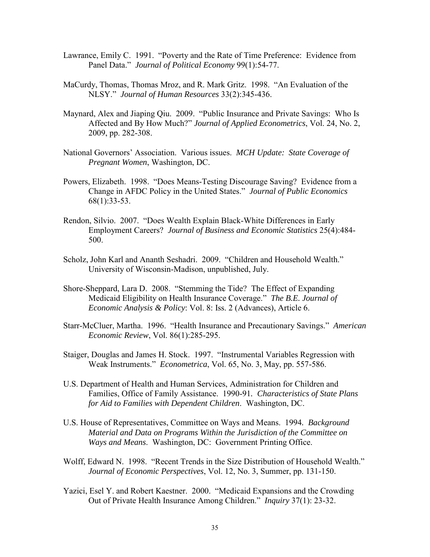- Lawrance, Emily C. 1991. "Poverty and the Rate of Time Preference: Evidence from Panel Data." *Journal of Political Economy* 99(1):54-77.
- MaCurdy, Thomas, Thomas Mroz, and R. Mark Gritz. 1998. "An Evaluation of the NLSY." *Journal of Human Resources* 33(2):345-436.
- Maynard, Alex and Jiaping Qiu. 2009. "Public Insurance and Private Savings: Who Is Affected and By How Much?" *Journal of Applied Econometrics*, Vol. 24, No. 2, 2009, pp. 282-308.
- National Governors' Association. Various issues. *MCH Update: State Coverage of Pregnant Women*, Washington, DC.
- Powers, Elizabeth. 1998. "Does Means-Testing Discourage Saving? Evidence from a Change in AFDC Policy in the United States." *Journal of Public Economics* 68(1):33-53.
- Rendon, Silvio. 2007. "Does Wealth Explain Black-White Differences in Early Employment Careers? *[Journal of Business and Economic Statistics](http://miranda.asa.catchword.org/vl=3622705/cl=14/nw=1/rpsv/cw/asa/07350015/v25n4/s8/p484)* 25(4):484- 500.
- Scholz, John Karl and Ananth Seshadri. 2009. "Children and Household Wealth." University of Wisconsin-Madison, unpublished, July.
- Shore-Sheppard, Lara D. 2008. "Stemming the Tide? The Effect of Expanding Medicaid Eligibility on Health Insurance Coverage." *The B.E. Journal of Economic Analysis & Policy*: Vol. 8: Iss. 2 (Advances), Article 6.
- Starr-McCluer, Martha. 1996. "Health Insurance and Precautionary Savings." *American Economic Review*, Vol. 86(1):285-295.
- Staiger, Douglas and James H. Stock. 1997. "Instrumental Variables Regression with Weak Instruments." *Econometrica*, Vol. 65, No. 3, May, pp. 557-586.
- U.S. Department of Health and Human Services, Administration for Children and Families, Office of Family Assistance. 1990-91*. Characteristics of State Plans for Aid to Families with Dependent Children*. Washington, DC.
- U.S. House of Representatives, Committee on Ways and Means. 1994*. Background Material and Data on Programs Within the Jurisdiction of the Committee on Ways and Means*. Washington, DC: Government Printing Office.
- Wolff, Edward N. 1998. "Recent Trends in the Size Distribution of Household Wealth." *Journal of Economic Perspectives*, Vol. 12, No. 3, Summer, pp. 131-150.
- Yazici, Esel Y. and Robert Kaestner. 2000. "Medicaid Expansions and the Crowding Out of Private Health Insurance Among Children." *Inquiry* 37(1): 23-32.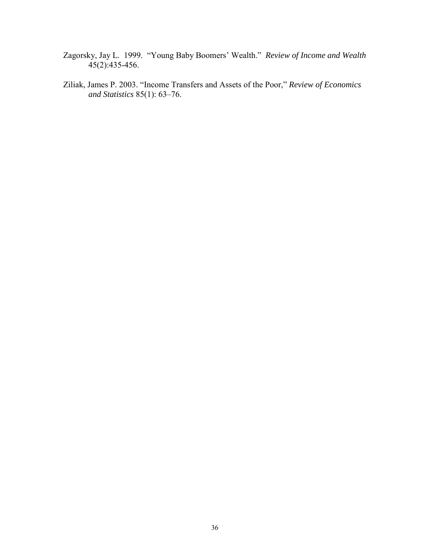- Zagorsky, Jay L. 1999. "Young Baby Boomers' Wealth." *Review of Income and Wealth*  $45(2):435-456.$
- Ziliak, James P. 2003. "Income Transfers and Assets of the Poor," *Review of Economics and Statistics* 85(1): 63–76.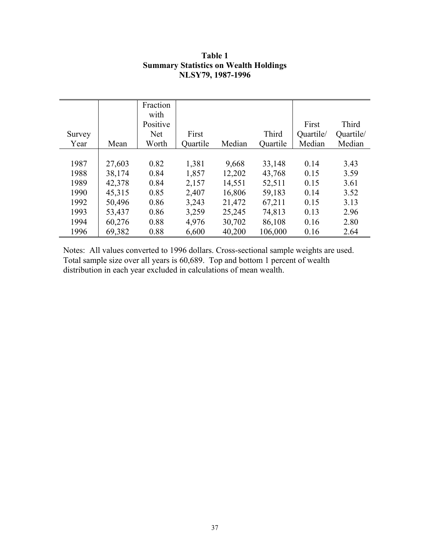|        |        | Fraction<br>with |          |        |          |           |           |
|--------|--------|------------------|----------|--------|----------|-----------|-----------|
|        |        | Positive         |          |        |          | First     | Third     |
| Survey |        | <b>Net</b>       | First    |        | Third    | Quartile/ | Quartile/ |
| Year   | Mean   | Worth            | Quartile | Median | Quartile | Median    | Median    |
|        |        |                  |          |        |          |           |           |
| 1987   | 27,603 | 0.82             | 1,381    | 9,668  | 33,148   | 0.14      | 3.43      |
| 1988   | 38,174 | 0.84             | 1,857    | 12,202 | 43,768   | 0.15      | 3.59      |
| 1989   | 42,378 | 0.84             | 2,157    | 14,551 | 52,511   | 0.15      | 3.61      |
| 1990   | 45,315 | 0.85             | 2,407    | 16,806 | 59,183   | 0.14      | 3.52      |
| 1992   | 50,496 | 0.86             | 3,243    | 21,472 | 67,211   | 0.15      | 3.13      |
| 1993   | 53,437 | 0.86             | 3,259    | 25,245 | 74,813   | 0.13      | 2.96      |
| 1994   | 60,276 | 0.88             | 4,976    | 30,702 | 86,108   | 0.16      | 2.80      |
| 1996   | 69,382 | 0.88             | 6,600    | 40,200 | 106,000  | 0.16      | 2.64      |

## **Table 1 Summary Statistics on Wealth Holdings NLSY79, 1987-1996**

Notes: All values converted to 1996 dollars. Cross-sectional sample weights are used. Total sample size over all years is 60,689. Top and bottom 1 percent of wealth distribution in each year excluded in calculations of mean wealth.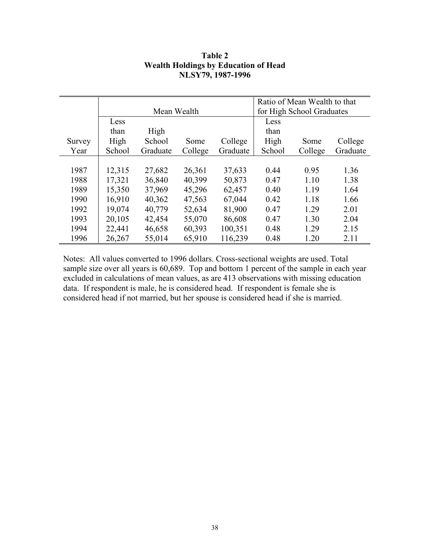|        |        |             |         |          |        | Ratio of Mean Wealth to that |          |
|--------|--------|-------------|---------|----------|--------|------------------------------|----------|
|        |        | Mean Wealth |         |          |        | for High School Graduates    |          |
|        | Less   |             |         |          | Less   |                              |          |
|        | than   | High        |         |          | than   |                              |          |
| Survey | High   | School      | Some    | College  | High   | Some                         | College  |
| Year   | School | Graduate    | College | Graduate | School | College                      | Graduate |
|        |        |             |         |          |        |                              |          |
| 1987   | 12,315 | 27,682      | 26,361  | 37,633   | 0.44   | 0.95                         | 1.36     |
| 1988   | 17,321 | 36,840      | 40,399  | 50,873   | 0.47   | 1.10                         | 1.38     |
| 1989   | 15,350 | 37,969      | 45,296  | 62,457   | 0.40   | 1.19                         | 1.64     |
| 1990   | 16,910 | 40,362      | 47,563  | 67,044   | 0.42   | 1.18                         | 1.66     |
| 1992   | 19,074 | 40,779      | 52,634  | 81,900   | 0.47   | 1.29                         | 2.01     |
| 1993   | 20,105 | 42,454      | 55,070  | 86,608   | 0.47   | 1.30                         | 2.04     |
| 1994   | 22,441 | 46,658      | 60,393  | 100,351  | 0.48   | 1.29                         | 2.15     |
| 1996   | 26,267 | 55,014      | 65,910  | 116,239  | 0.48   | 1.20                         | 2.11     |

## **Table 2 Wealth Holdings by Education of Head NLSY79, 1987-1996**

Notes: All values converted to 1996 dollars. Cross-sectional weights are used. Total sample size over all years is 60,689. Top and bottom 1 percent of the sample in each year excluded in calculations of mean values, as are 413 observations with missing education data. If respondent is male, he is considered head. If respondent is female she is considered head if not married, but her spouse is considered head if she is married.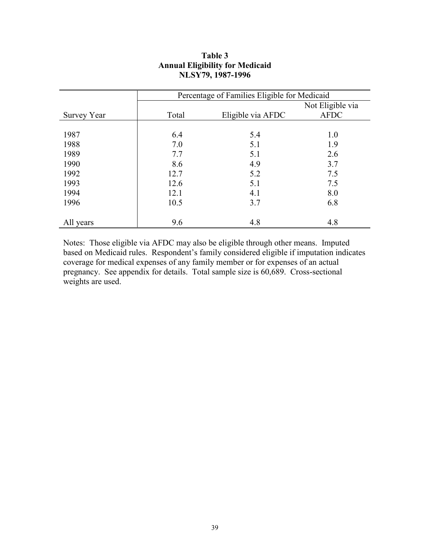|             | Percentage of Families Eligible for Medicaid |                   |                  |  |
|-------------|----------------------------------------------|-------------------|------------------|--|
|             |                                              |                   | Not Eligible via |  |
| Survey Year | Total                                        | Eligible via AFDC | <b>AFDC</b>      |  |
|             |                                              |                   |                  |  |
| 1987        | 6.4                                          | 5.4               | 1.0              |  |
| 1988        | 7.0                                          | 5.1               | 1.9              |  |
| 1989        | 7.7                                          | 5.1               | 2.6              |  |
| 1990        | 8.6                                          | 4.9               | 3.7              |  |
| 1992        | 12.7                                         | 5.2               | 7.5              |  |
| 1993        | 12.6                                         | 5.1               | 7.5              |  |
| 1994        | 12.1                                         | 4.1               | 8.0              |  |
| 1996        | 10.5                                         | 3.7               | 6.8              |  |
|             |                                              |                   |                  |  |
| All years   | 9.6                                          | 4.8               | 4.8              |  |

## **Table 3 Annual Eligibility for Medicaid NLSY79, 1987-1996**

Notes: Those eligible via AFDC may also be eligible through other means. Imputed based on Medicaid rules. Respondent's family considered eligible if imputation indicates coverage for medical expenses of any family member or for expenses of an actual pregnancy. See appendix for details. Total sample size is 60,689. Cross-sectional weights are used.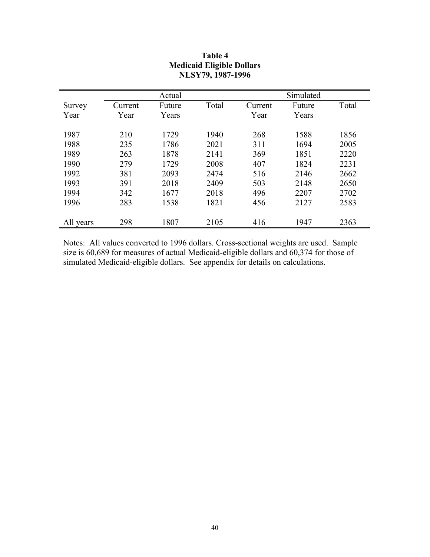|           | Actual  |        |       | Simulated |        |       |
|-----------|---------|--------|-------|-----------|--------|-------|
| Survey    | Current | Future | Total | Current   | Future | Total |
| Year      | Year    | Years  |       | Year      | Years  |       |
|           |         |        |       |           |        |       |
| 1987      | 210     | 1729   | 1940  | 268       | 1588   | 1856  |
| 1988      | 235     | 1786   | 2021  | 311       | 1694   | 2005  |
| 1989      | 263     | 1878   | 2141  | 369       | 1851   | 2220  |
| 1990      | 279     | 1729   | 2008  | 407       | 1824   | 2231  |
| 1992      | 381     | 2093   | 2474  | 516       | 2146   | 2662  |
| 1993      | 391     | 2018   | 2409  | 503       | 2148   | 2650  |
| 1994      | 342     | 1677   | 2018  | 496       | 2207   | 2702  |
| 1996      | 283     | 1538   | 1821  | 456       | 2127   | 2583  |
|           |         |        |       |           |        |       |
| All years | 298     | 1807   | 2105  | 416       | 1947   | 2363  |

## **Table 4 Medicaid Eligible Dollars NLSY79, 1987-1996**

Notes: All values converted to 1996 dollars. Cross-sectional weights are used. Sample size is 60,689 for measures of actual Medicaid-eligible dollars and 60,374 for those of simulated Medicaid-eligible dollars. See appendix for details on calculations.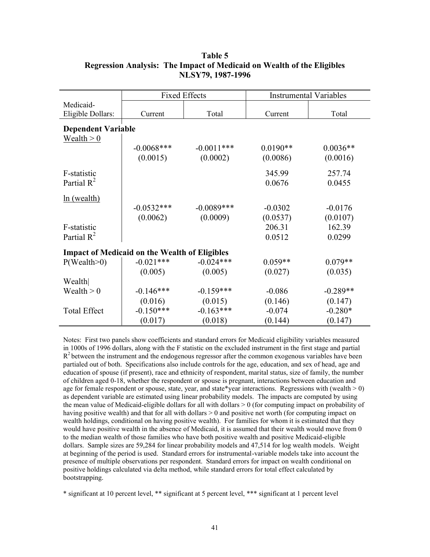|                                | <b>Fixed Effects</b>                                 |              |            | <b>Instrumental Variables</b> |
|--------------------------------|------------------------------------------------------|--------------|------------|-------------------------------|
| Medicaid-<br>Eligible Dollars: | Current                                              | Total        | Current    | Total                         |
| <b>Dependent Variable</b>      |                                                      |              |            |                               |
| Wealth $> 0$                   |                                                      |              |            |                               |
|                                | $-0.0068$ ***                                        | $-0.0011***$ | $0.0190**$ | $0.0036**$                    |
|                                | (0.0015)                                             | (0.0002)     | (0.0086)   | (0.0016)                      |
| F-statistic                    |                                                      |              | 345.99     | 257.74                        |
| Partial $R^2$                  |                                                      |              | 0.0676     | 0.0455                        |
| ln (wealth)                    |                                                      |              |            |                               |
|                                | $-0.0532***$                                         | $-0.0089***$ | $-0.0302$  | $-0.0176$                     |
|                                | (0.0062)                                             | (0.0009)     | (0.0537)   | (0.0107)                      |
| F-statistic                    |                                                      |              | 206.31     | 162.39                        |
| Partial $R^2$                  |                                                      |              | 0.0512     | 0.0299                        |
|                                | <b>Impact of Medicaid on the Wealth of Eligibles</b> |              |            |                               |
| P(Weather0)                    | $-0.021***$                                          | $-0.024***$  | $0.059**$  | $0.079**$                     |
|                                | (0.005)                                              | (0.005)      | (0.027)    | (0.035)                       |
| Wealth                         |                                                      |              |            |                               |
| Wealth $> 0$                   | $-0.146***$                                          | $-0.159***$  | $-0.086$   | $-0.289**$                    |
|                                | (0.016)                                              | (0.015)      | (0.146)    | (0.147)                       |
| <b>Total Effect</b>            | $-0.150***$                                          | $-0.163***$  | $-0.074$   | $-0.280*$                     |
|                                | (0.017)                                              | (0.018)      | (0.144)    | (0.147)                       |

## **Table 5 Regression Analysis: The Impact of Medicaid on Wealth of the Eligibles NLSY79, 1987-1996**

Notes: First two panels show coefficients and standard errors for Medicaid eligibility variables measured in 1000s of 1996 dollars, along with the F statistic on the excluded instrument in the first stage and partial  $R<sup>2</sup>$  between the instrument and the endogenous regressor after the common exogenous variables have been partialed out of both. Specifications also include controls for the age, education, and sex of head, age and education of spouse (if present), race and ethnicity of respondent, marital status, size of family, the number of children aged 0-18, whether the respondent or spouse is pregnant, interactions between education and age for female respondent or spouse, state, year, and state\*year interactions. Regressions with (wealth  $> 0$ ) as dependent variable are estimated using linear probability models. The impacts are computed by using the mean value of Medicaid-eligible dollars for all with dollars  $> 0$  (for computing impact on probability of having positive wealth) and that for all with dollars  $> 0$  and positive net worth (for computing impact on wealth holdings, conditional on having positive wealth). For families for whom it is estimated that they would have positive wealth in the absence of Medicaid, it is assumed that their wealth would move from 0 to the median wealth of those families who have both positive wealth and positive Medicaid-eligible dollars. Sample sizes are 59,284 for linear probability models and 47,514 for log wealth models. Weight at beginning of the period is used. Standard errors for instrumental-variable models take into account the presence of multiple observations per respondent. Standard errors for impact on wealth conditional on positive holdings calculated via delta method, while standard errors for total effect calculated by bootstrapping.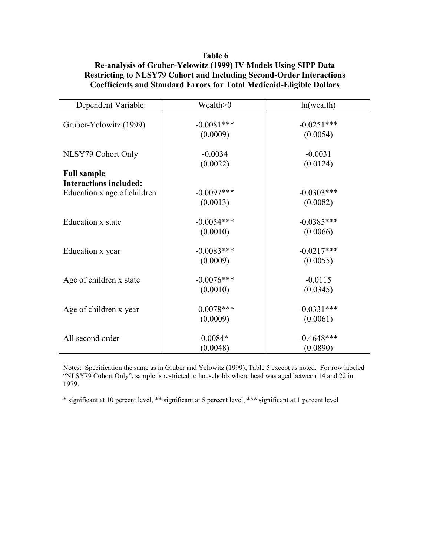## **Table 6 Re-analysis of Gruber-Yelowitz (1999) IV Models Using SIPP Data Restricting to NLSY79 Cohort and Including Second-Order Interactions Coefficients and Standard Errors for Total Medicaid-Eligible Dollars**

| Dependent Variable:                                 | Wealth>0                 | $ln($ wealth $)$          |
|-----------------------------------------------------|--------------------------|---------------------------|
| Gruber-Yelowitz (1999)                              | $-0.0081***$<br>(0.0009) | $-0.0251***$<br>(0.0054)  |
| NLSY79 Cohort Only                                  | $-0.0034$<br>(0.0022)    | $-0.0031$<br>(0.0124)     |
| <b>Full sample</b><br><b>Interactions included:</b> |                          |                           |
| Education x age of children                         | $-0.0097***$<br>(0.0013) | $-0.0303***$<br>(0.0082)  |
| Education x state                                   | $-0.0054***$<br>(0.0010) | $-0.0385***$<br>(0.0066)  |
| Education x year                                    | $-0.0083***$<br>(0.0009) | $-0.0217***$<br>(0.0055)  |
| Age of children x state                             | $-0.0076***$<br>(0.0010) | $-0.0115$<br>(0.0345)     |
| Age of children x year                              | $-0.0078***$<br>(0.0009) | $-0.0331***$<br>(0.0061)  |
| All second order                                    | $0.0084*$<br>(0.0048)    | $-0.4648$ ***<br>(0.0890) |

Notes: Specification the same as in Gruber and Yelowitz (1999), Table 5 except as noted. For row labeled "NLSY79 Cohort Only", sample is restricted to households where head was aged between 14 and 22 in 1979.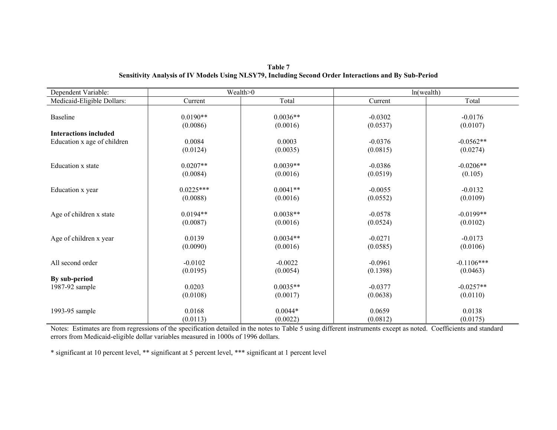| Dependent Variable:             |             | Wealth>0   |           | $ln($ wealth $)$ |
|---------------------------------|-------------|------------|-----------|------------------|
| Medicaid-Eligible Dollars:      | Current     | Total      | Current   | Total            |
|                                 |             |            |           |                  |
| Baseline                        | $0.0190**$  | $0.0036**$ | $-0.0302$ | $-0.0176$        |
|                                 | (0.0086)    | (0.0016)   | (0.0537)  | (0.0107)         |
| <b>Interactions included</b>    |             |            |           |                  |
| Education x age of children     | 0.0084      | 0.0003     | $-0.0376$ | $-0.0562**$      |
|                                 | (0.0124)    | (0.0035)   | (0.0815)  | (0.0274)         |
|                                 |             |            |           |                  |
| Education x state               | $0.0207**$  | $0.0039**$ | $-0.0386$ | $-0.0206**$      |
|                                 | (0.0084)    | (0.0016)   | (0.0519)  | (0.105)          |
| Education x year                | $0.0225***$ | $0.0041**$ | $-0.0055$ | $-0.0132$        |
|                                 | (0.0088)    | (0.0016)   | (0.0552)  | (0.0109)         |
|                                 |             |            |           |                  |
| Age of children x state         | $0.0194**$  | $0.0038**$ | $-0.0578$ | $-0.0199**$      |
|                                 | (0.0087)    | (0.0016)   | (0.0524)  | (0.0102)         |
|                                 |             |            |           |                  |
| Age of children x year          | 0.0139      | $0.0034**$ | $-0.0271$ | $-0.0173$        |
|                                 | (0.0090)    | (0.0016)   | (0.0585)  | (0.0106)         |
| All second order                | $-0.0102$   | $-0.0022$  | $-0.0961$ | $-0.1106***$     |
|                                 |             |            |           |                  |
|                                 | (0.0195)    | (0.0054)   | (0.1398)  | (0.0463)         |
| By sub-period<br>1987-92 sample | 0.0203      | $0.0035**$ | $-0.0377$ | $-0.0257**$      |
|                                 |             |            |           |                  |
|                                 | (0.0108)    | (0.0017)   | (0.0638)  | (0.0110)         |
| 1993-95 sample                  | 0.0168      | $0.0044*$  | 0.0659    | 0.0138           |
|                                 | (0.0113)    | (0.0022)   | (0.0812)  | (0.0175)         |

**Table 7 Sensitivity Analysis of IV Models Using NLSY79, Including Second Order Interactions and By Sub-Period** 

Notes: Estimates are from regressions of the specification detailed in the notes to Table 5 using different instruments except as noted. Coefficients and standard errors from Medicaid-eligible dollar variables measured in 1000s of 1996 dollars.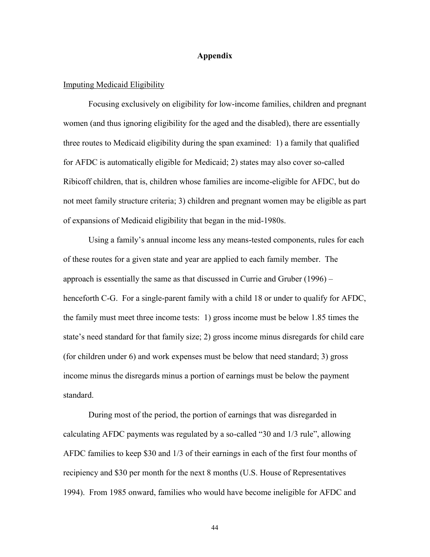## **Appendix**

#### Imputing Medicaid Eligibility

 Focusing exclusively on eligibility for low-income families, children and pregnant women (and thus ignoring eligibility for the aged and the disabled), there are essentially three routes to Medicaid eligibility during the span examined: 1) a family that qualified for AFDC is automatically eligible for Medicaid; 2) states may also cover so-called Ribicoff children, that is, children whose families are income-eligible for AFDC, but do not meet family structure criteria; 3) children and pregnant women may be eligible as part of expansions of Medicaid eligibility that began in the mid-1980s.

 Using a family's annual income less any means-tested components, rules for each of these routes for a given state and year are applied to each family member. The approach is essentially the same as that discussed in Currie and Gruber (1996) – henceforth C-G. For a single-parent family with a child 18 or under to qualify for AFDC, the family must meet three income tests: 1) gross income must be below 1.85 times the state's need standard for that family size; 2) gross income minus disregards for child care (for children under 6) and work expenses must be below that need standard; 3) gross income minus the disregards minus a portion of earnings must be below the payment standard.

 During most of the period, the portion of earnings that was disregarded in calculating AFDC payments was regulated by a so-called "30 and 1/3 rule", allowing AFDC families to keep \$30 and 1/3 of their earnings in each of the first four months of recipiency and \$30 per month for the next 8 months (U.S. House of Representatives 1994). From 1985 onward, families who would have become ineligible for AFDC and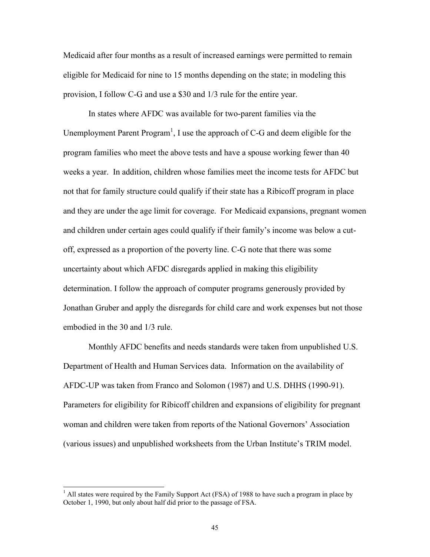Medicaid after four months as a result of increased earnings were permitted to remain eligible for Medicaid for nine to 15 months depending on the state; in modeling this provision, I follow C-G and use a \$30 and 1/3 rule for the entire year.

 In states where AFDC was available for two-parent families via the Unemployment Parent Program<sup>1</sup>, I use the approach of C-G and deem eligible for the program families who meet the above tests and have a spouse working fewer than 40 weeks a year. In addition, children whose families meet the income tests for AFDC but not that for family structure could qualify if their state has a Ribicoff program in place and they are under the age limit for coverage. For Medicaid expansions, pregnant women and children under certain ages could qualify if their family's income was below a cutoff, expressed as a proportion of the poverty line. C-G note that there was some uncertainty about which AFDC disregards applied in making this eligibility determination. I follow the approach of computer programs generously provided by Jonathan Gruber and apply the disregards for child care and work expenses but not those embodied in the 30 and 1/3 rule.

Monthly AFDC benefits and needs standards were taken from unpublished U.S. Department of Health and Human Services data. Information on the availability of AFDC-UP was taken from Franco and Solomon (1987) and U.S. DHHS (1990-91). Parameters for eligibility for Ribicoff children and expansions of eligibility for pregnant woman and children were taken from reports of the National Governors' Association (various issues) and unpublished worksheets from the Urban Institute's TRIM model.

<sup>&</sup>lt;sup>1</sup> All states were required by the Family Support Act (FSA) of 1988 to have such a program in place by October 1, 1990, but only about half did prior to the passage of FSA.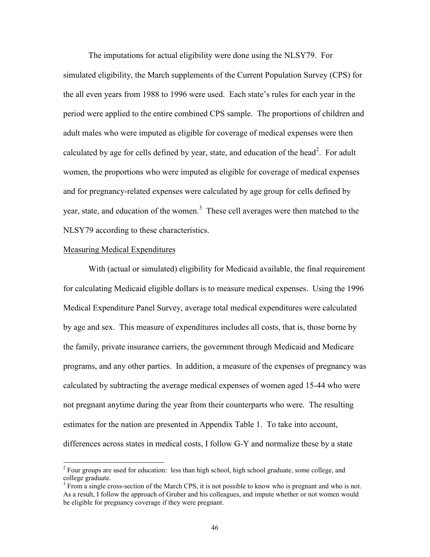The imputations for actual eligibility were done using the NLSY79. For simulated eligibility, the March supplements of the Current Population Survey (CPS) for the all even years from 1988 to 1996 were used. Each state's rules for each year in the period were applied to the entire combined CPS sample. The proportions of children and adult males who were imputed as eligible for coverage of medical expenses were then calculated by age for cells defined by year, state, and education of the head<sup>2</sup>. For adult women, the proportions who were imputed as eligible for coverage of medical expenses and for pregnancy-related expenses were calculated by age group for cells defined by year, state, and education of the women.<sup>3</sup> These cell averages were then matched to the NLSY79 according to these characteristics.

#### Measuring Medical Expenditures

With (actual or simulated) eligibility for Medicaid available, the final requirement for calculating Medicaid eligible dollars is to measure medical expenses. Using the 1996 Medical Expenditure Panel Survey, average total medical expenditures were calculated by age and sex. This measure of expenditures includes all costs, that is, those borne by the family, private insurance carriers, the government through Medicaid and Medicare programs, and any other parties. In addition, a measure of the expenses of pregnancy was calculated by subtracting the average medical expenses of women aged 15-44 who were not pregnant anytime during the year from their counterparts who were. The resulting estimates for the nation are presented in Appendix Table 1. To take into account, differences across states in medical costs, I follow G-Y and normalize these by a state

<sup>&</sup>lt;sup>2</sup> Four groups are used for education: less than high school, high school graduate, some college, and college graduate.

<sup>&</sup>lt;sup>3</sup> From a single cross-section of the March CPS, it is not possible to know who is pregnant and who is not. As a result, I follow the approach of Gruber and his colleagues, and impute whether or not women would be eligible for pregnancy coverage if they were pregnant.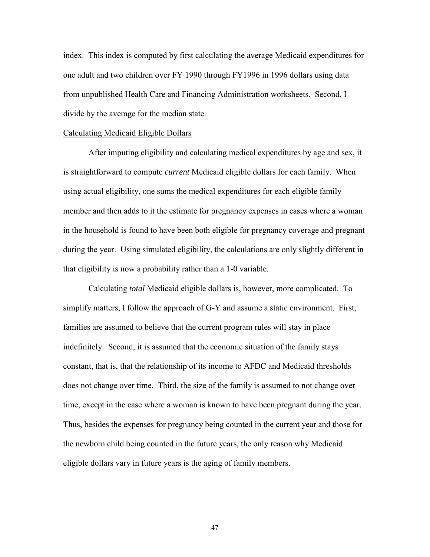index. This index is computed by first calculating the average Medicaid expenditures for one adult and two children over FY 1990 through FY1996 in 1996 dollars using data from unpublished Health Care and Financing Administration worksheets. Second, I divide by the average for the median state.

#### Calculating Medicaid Eligible Dollars

After imputing eligibility and calculating medical expenditures by age and sex, it is straightforward to compute *current* Medicaid eligible dollars for each family. When using actual eligibility, one sums the medical expenditures for each eligible family member and then adds to it the estimate for pregnancy expenses in cases where a woman in the household is found to have been both eligible for pregnancy coverage and pregnant during the year. Using simulated eligibility, the calculations are only slightly different in that eligibility is now a probability rather than a 1-0 variable.

 Calculating *total* Medicaid eligible dollars is, however, more complicated. To simplify matters, I follow the approach of G-Y and assume a static environment. First, families are assumed to believe that the current program rules will stay in place indefinitely. Second, it is assumed that the economic situation of the family stays constant, that is, that the relationship of its income to AFDC and Medicaid thresholds does not change over time. Third, the size of the family is assumed to not change over time, except in the case where a woman is known to have been pregnant during the year. Thus, besides the expenses for pregnancy being counted in the current year and those for the newborn child being counted in the future years, the only reason why Medicaid eligible dollars vary in future years is the aging of family members.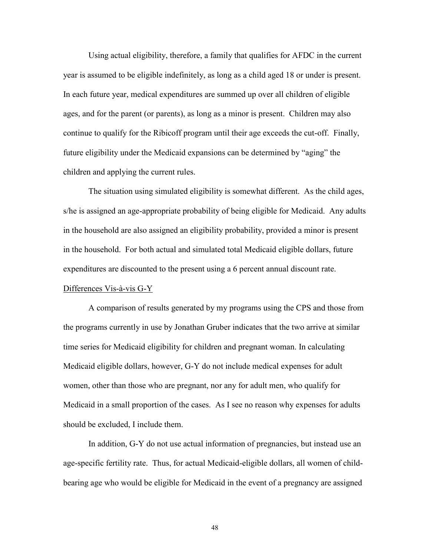Using actual eligibility, therefore, a family that qualifies for AFDC in the current year is assumed to be eligible indefinitely, as long as a child aged 18 or under is present. In each future year, medical expenditures are summed up over all children of eligible ages, and for the parent (or parents), as long as a minor is present. Children may also continue to qualify for the Ribicoff program until their age exceeds the cut-off. Finally, future eligibility under the Medicaid expansions can be determined by "aging" the children and applying the current rules.

 The situation using simulated eligibility is somewhat different. As the child ages, s/he is assigned an age-appropriate probability of being eligible for Medicaid. Any adults in the household are also assigned an eligibility probability, provided a minor is present in the household. For both actual and simulated total Medicaid eligible dollars, future expenditures are discounted to the present using a 6 percent annual discount rate.

#### Differences Vis-à-vis G-Y

 A comparison of results generated by my programs using the CPS and those from the programs currently in use by Jonathan Gruber indicates that the two arrive at similar time series for Medicaid eligibility for children and pregnant woman. In calculating Medicaid eligible dollars, however, G-Y do not include medical expenses for adult women, other than those who are pregnant, nor any for adult men, who qualify for Medicaid in a small proportion of the cases. As I see no reason why expenses for adults should be excluded, I include them.

In addition, G-Y do not use actual information of pregnancies, but instead use an age-specific fertility rate. Thus, for actual Medicaid-eligible dollars, all women of childbearing age who would be eligible for Medicaid in the event of a pregnancy are assigned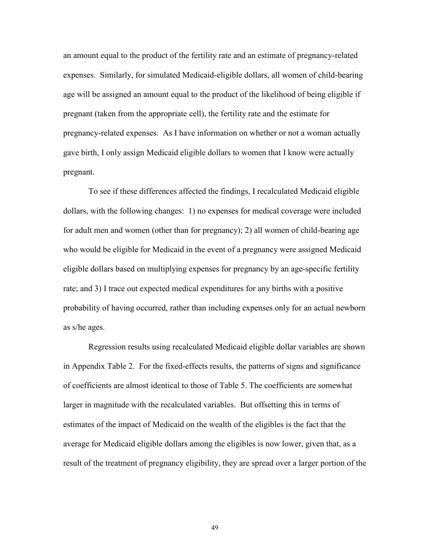an amount equal to the product of the fertility rate and an estimate of pregnancy-related expenses. Similarly, for simulated Medicaid-eligible dollars, all women of child-bearing age will be assigned an amount equal to the product of the likelihood of being eligible if pregnant (taken from the appropriate cell), the fertility rate and the estimate for pregnancy-related expenses. As I have information on whether or not a woman actually gave birth, I only assign Medicaid eligible dollars to women that I know were actually pregnant.

 To see if these differences affected the findings, I recalculated Medicaid eligible dollars, with the following changes: 1) no expenses for medical coverage were included for adult men and women (other than for pregnancy); 2) all women of child-bearing age who would be eligible for Medicaid in the event of a pregnancy were assigned Medicaid eligible dollars based on multiplying expenses for pregnancy by an age-specific fertility rate; and 3) I trace out expected medical expenditures for any births with a positive probability of having occurred, rather than including expenses only for an actual newborn as s/he ages.

 Regression results using recalculated Medicaid eligible dollar variables are shown in Appendix Table 2. For the fixed-effects results, the patterns of signs and significance of coefficients are almost identical to those of Table 5. The coefficients are somewhat larger in magnitude with the recalculated variables. But offsetting this in terms of estimates of the impact of Medicaid on the wealth of the eligibles is the fact that the average for Medicaid eligible dollars among the eligibles is now lower, given that, as a result of the treatment of pregnancy eligibility, they are spread over a larger portion of the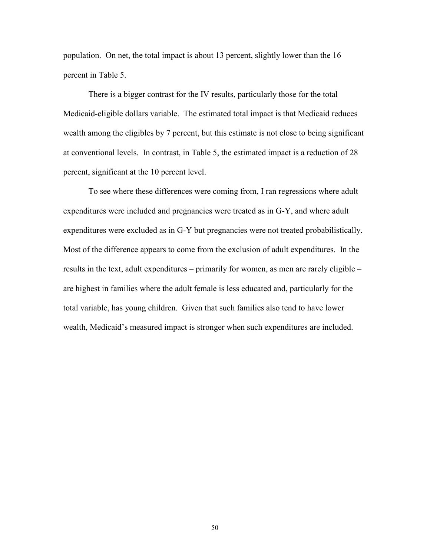population. On net, the total impact is about 13 percent, slightly lower than the 16 percent in Table 5.

 There is a bigger contrast for the IV results, particularly those for the total Medicaid-eligible dollars variable. The estimated total impact is that Medicaid reduces wealth among the eligibles by 7 percent, but this estimate is not close to being significant at conventional levels. In contrast, in Table 5, the estimated impact is a reduction of 28 percent, significant at the 10 percent level.

 To see where these differences were coming from, I ran regressions where adult expenditures were included and pregnancies were treated as in G-Y, and where adult expenditures were excluded as in G-Y but pregnancies were not treated probabilistically. Most of the difference appears to come from the exclusion of adult expenditures. In the results in the text, adult expenditures – primarily for women, as men are rarely eligible – are highest in families where the adult female is less educated and, particularly for the total variable, has young children. Given that such families also tend to have lower wealth, Medicaid's measured impact is stronger when such expenditures are included.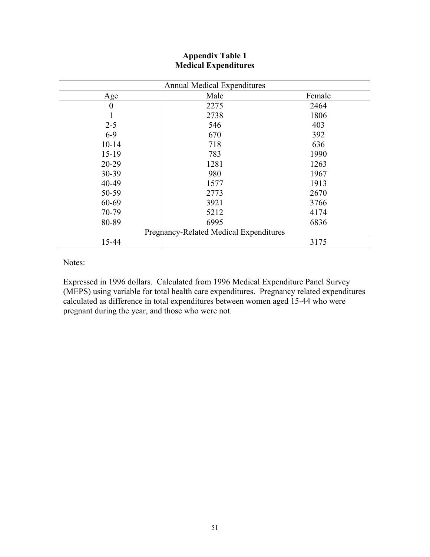| <b>Annual Medical Expenditures</b>     |      |        |  |  |  |  |
|----------------------------------------|------|--------|--|--|--|--|
| Age                                    | Male | Female |  |  |  |  |
| $\boldsymbol{0}$                       | 2275 | 2464   |  |  |  |  |
|                                        | 2738 | 1806   |  |  |  |  |
| $2 - 5$                                | 546  | 403    |  |  |  |  |
| $6-9$                                  | 670  | 392    |  |  |  |  |
| $10 - 14$                              | 718  | 636    |  |  |  |  |
| $15-19$                                | 783  | 1990   |  |  |  |  |
| $20 - 29$                              | 1281 | 1263   |  |  |  |  |
| 30-39                                  | 980  | 1967   |  |  |  |  |
| 40-49                                  | 1577 | 1913   |  |  |  |  |
| 50-59                                  | 2773 | 2670   |  |  |  |  |
| 60-69                                  | 3921 | 3766   |  |  |  |  |
| 70-79                                  | 5212 | 4174   |  |  |  |  |
| 80-89                                  | 6995 | 6836   |  |  |  |  |
| Pregnancy-Related Medical Expenditures |      |        |  |  |  |  |
| 15-44                                  |      | 3175   |  |  |  |  |

## **Appendix Table 1 Medical Expenditures**

Notes:

Expressed in 1996 dollars. Calculated from 1996 Medical Expenditure Panel Survey (MEPS) using variable for total health care expenditures. Pregnancy related expenditures calculated as difference in total expenditures between women aged 15-44 who were pregnant during the year, and those who were not.